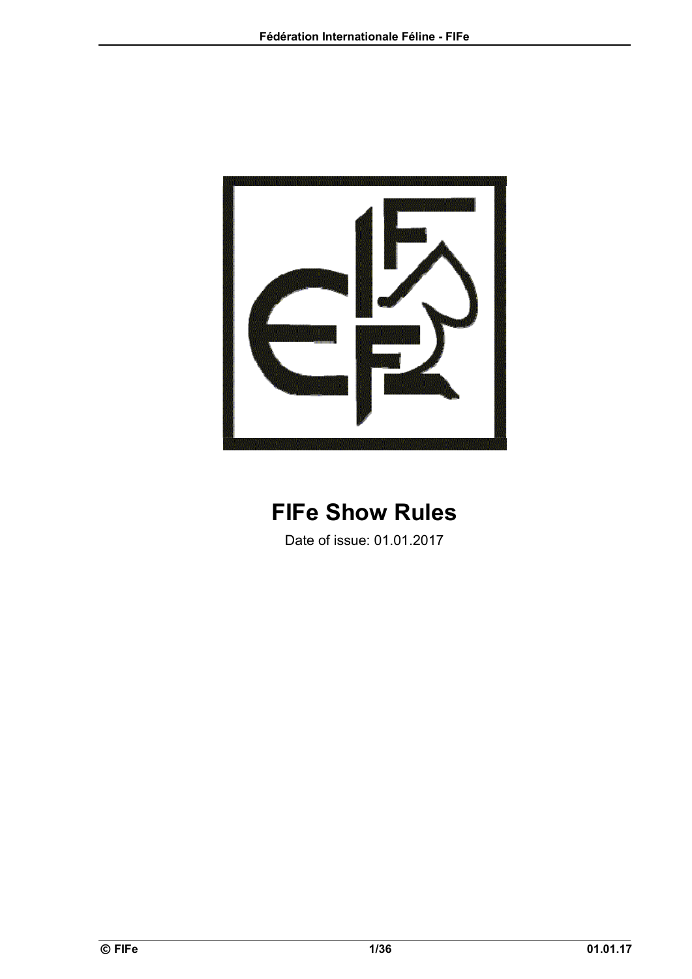

# **FIFe Show Rules**

Date of issue: 01.01.2017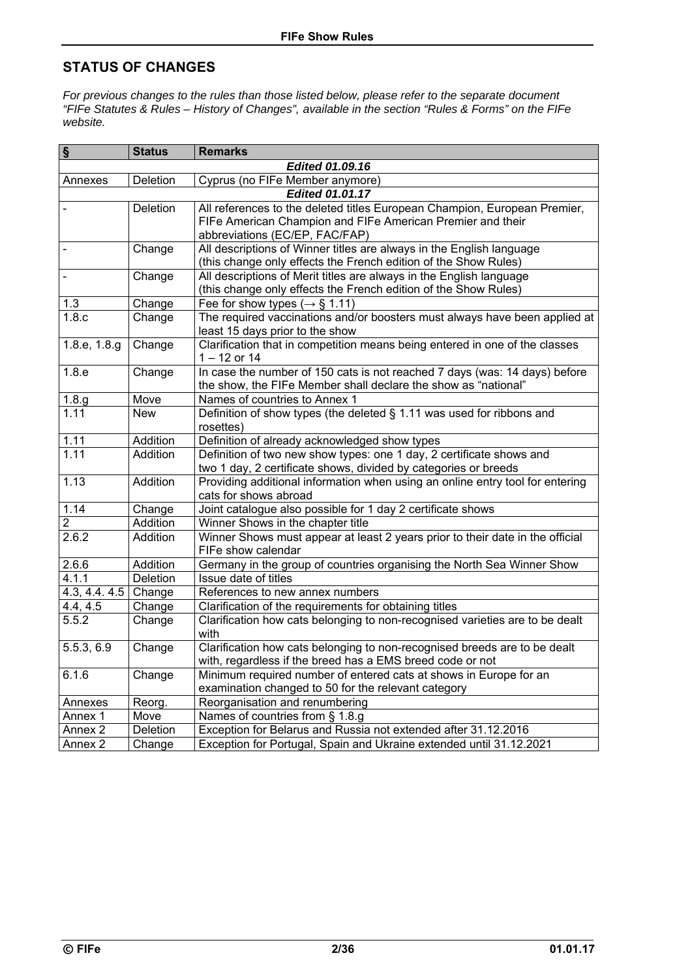## **STATUS OF CHANGES**

*For previous changes to the rules than those listed below, please refer to the separate document "FIFe Statutes & Rules – History of Changes", available in the section "Rules & Forms" on the FIFe website.* 

| $\S$               | <b>Status</b>                  | <b>Remarks</b>                                                                |  |  |  |  |  |  |
|--------------------|--------------------------------|-------------------------------------------------------------------------------|--|--|--|--|--|--|
|                    | Edited 01.09.16                |                                                                               |  |  |  |  |  |  |
| Annexes            | Deletion                       | Cyprus (no FIFe Member anymore)                                               |  |  |  |  |  |  |
|                    | <b>Edited 01.01.17</b>         |                                                                               |  |  |  |  |  |  |
|                    | Deletion                       | All references to the deleted titles European Champion, European Premier,     |  |  |  |  |  |  |
|                    |                                | FIFe American Champion and FIFe American Premier and their                    |  |  |  |  |  |  |
|                    | abbreviations (EC/EP, FAC/FAP) |                                                                               |  |  |  |  |  |  |
|                    | Change                         | All descriptions of Winner titles are always in the English language          |  |  |  |  |  |  |
|                    |                                | (this change only effects the French edition of the Show Rules)               |  |  |  |  |  |  |
|                    | Change                         | All descriptions of Merit titles are always in the English language           |  |  |  |  |  |  |
|                    |                                | (this change only effects the French edition of the Show Rules)               |  |  |  |  |  |  |
| 1.3                | Change                         | Fee for show types ( $\rightarrow$ § 1.11)                                    |  |  |  |  |  |  |
| 1.8.c              | Change                         | The required vaccinations and/or boosters must always have been applied at    |  |  |  |  |  |  |
|                    |                                | least 15 days prior to the show                                               |  |  |  |  |  |  |
| 1.8.e, 1.8.g       | Change                         | Clarification that in competition means being entered in one of the classes   |  |  |  |  |  |  |
|                    |                                | $1 - 12$ or $14$                                                              |  |  |  |  |  |  |
| 1.8.e              | Change                         | In case the number of 150 cats is not reached 7 days (was: 14 days) before    |  |  |  |  |  |  |
|                    |                                | the show, the FIFe Member shall declare the show as "national"                |  |  |  |  |  |  |
| 1.8.g              | Move                           | Names of countries to Annex 1                                                 |  |  |  |  |  |  |
| 1.11               | <b>New</b>                     | Definition of show types (the deleted $\S$ 1.11 was used for ribbons and      |  |  |  |  |  |  |
|                    |                                | rosettes)                                                                     |  |  |  |  |  |  |
| 1.11               | Addition                       | Definition of already acknowledged show types                                 |  |  |  |  |  |  |
| 1.11               | <b>Addition</b>                | Definition of two new show types: one 1 day, 2 certificate shows and          |  |  |  |  |  |  |
|                    |                                | two 1 day, 2 certificate shows, divided by categories or breeds               |  |  |  |  |  |  |
| 1.13<br>Addition   |                                | Providing additional information when using an online entry tool for entering |  |  |  |  |  |  |
|                    |                                | cats for shows abroad                                                         |  |  |  |  |  |  |
| 1.14               | Change                         | Joint catalogue also possible for 1 day 2 certificate shows                   |  |  |  |  |  |  |
| $\overline{2}$     | Addition                       | Winner Shows in the chapter title                                             |  |  |  |  |  |  |
| 2.6.2              | Addition                       | Winner Shows must appear at least 2 years prior to their date in the official |  |  |  |  |  |  |
|                    |                                | FIFe show calendar                                                            |  |  |  |  |  |  |
| 2.6.6              | Addition                       | Germany in the group of countries organising the North Sea Winner Show        |  |  |  |  |  |  |
| 4.1.1              | Deletion                       | Issue date of titles                                                          |  |  |  |  |  |  |
| 4.3, 4.4. 4.5      | Change                         | References to new annex numbers                                               |  |  |  |  |  |  |
| 4.4, 4.5           | Change                         | Clarification of the requirements for obtaining titles                        |  |  |  |  |  |  |
| 5.5.2              | Change                         | Clarification how cats belonging to non-recognised varieties are to be dealt  |  |  |  |  |  |  |
|                    |                                | with                                                                          |  |  |  |  |  |  |
| 5.5.3, 6.9         | Change                         | Clarification how cats belonging to non-recognised breeds are to be dealt     |  |  |  |  |  |  |
|                    |                                | with, regardless if the breed has a EMS breed code or not                     |  |  |  |  |  |  |
| 6.1.6              | Change                         | Minimum required number of entered cats at shows in Europe for an             |  |  |  |  |  |  |
|                    |                                | examination changed to 50 for the relevant category                           |  |  |  |  |  |  |
| Annexes            | Reorg.                         | Reorganisation and renumbering                                                |  |  |  |  |  |  |
| Annex 1            | Move                           | Names of countries from § 1.8.g                                               |  |  |  |  |  |  |
| Annex 2            | Deletion                       | Exception for Belarus and Russia not extended after 31.12.2016                |  |  |  |  |  |  |
| Annex <sub>2</sub> | Change                         | Exception for Portugal, Spain and Ukraine extended until 31.12.2021           |  |  |  |  |  |  |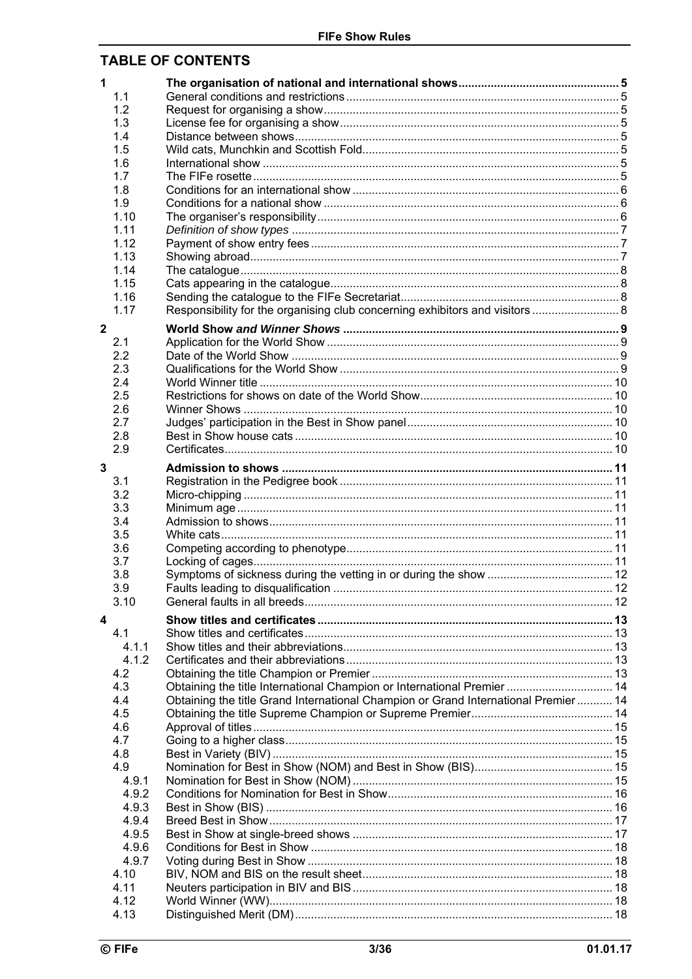## **TABLE OF CONTENTS**

| 1            |       |                                                                                     |  |
|--------------|-------|-------------------------------------------------------------------------------------|--|
|              | 1.1   |                                                                                     |  |
|              | 1.2   |                                                                                     |  |
|              | 1.3   |                                                                                     |  |
|              | 1.4   |                                                                                     |  |
|              | 1.5   |                                                                                     |  |
|              | 1.6   |                                                                                     |  |
|              | 1.7   |                                                                                     |  |
|              | 1.8   |                                                                                     |  |
|              | 1.9   |                                                                                     |  |
|              | 1.10  |                                                                                     |  |
|              | 1.11  |                                                                                     |  |
|              | 1.12  |                                                                                     |  |
|              | 1.13  |                                                                                     |  |
|              | 1.14  |                                                                                     |  |
|              | 1.15  |                                                                                     |  |
|              | 1.16  |                                                                                     |  |
|              | 1.17  | Responsibility for the organising club concerning exhibitors and visitors  8        |  |
| $\mathbf{2}$ |       |                                                                                     |  |
|              | 2.1   |                                                                                     |  |
|              | 2.2   |                                                                                     |  |
|              | 2.3   |                                                                                     |  |
|              | 2.4   |                                                                                     |  |
|              | 2.5   |                                                                                     |  |
|              | 2.6   |                                                                                     |  |
|              | 2.7   |                                                                                     |  |
|              | 2.8   |                                                                                     |  |
|              | 2.9   |                                                                                     |  |
| 3            |       |                                                                                     |  |
|              | 3.1   |                                                                                     |  |
|              | 3.2   |                                                                                     |  |
|              | 3.3   |                                                                                     |  |
|              | 3.4   |                                                                                     |  |
|              | 3.5   |                                                                                     |  |
|              | 3.6   |                                                                                     |  |
|              | 3.7   |                                                                                     |  |
|              | 3.8   |                                                                                     |  |
|              | 3.9   |                                                                                     |  |
|              | 3.10  |                                                                                     |  |
| 4            |       |                                                                                     |  |
|              | 4.1   |                                                                                     |  |
|              | 4.1.1 |                                                                                     |  |
|              | 4.1.2 |                                                                                     |  |
|              | 4.2   |                                                                                     |  |
|              | 4.3   | Obtaining the title International Champion or International Premier  14             |  |
|              | 4.4   | Obtaining the title Grand International Champion or Grand International Premier  14 |  |
|              | 4.5   |                                                                                     |  |
|              | 4.6   |                                                                                     |  |
|              | 4.7   |                                                                                     |  |
|              | 4.8   |                                                                                     |  |
|              | 4.9   |                                                                                     |  |
|              | 4.9.1 |                                                                                     |  |
|              | 4.9.2 |                                                                                     |  |
|              | 4.9.3 |                                                                                     |  |
|              | 4.9.4 |                                                                                     |  |
|              | 4.9.5 |                                                                                     |  |
|              | 4.9.6 |                                                                                     |  |
|              | 4.9.7 |                                                                                     |  |
|              | 4.10  |                                                                                     |  |
|              | 4.11  |                                                                                     |  |
|              | 4.12  |                                                                                     |  |
|              | 4.13  |                                                                                     |  |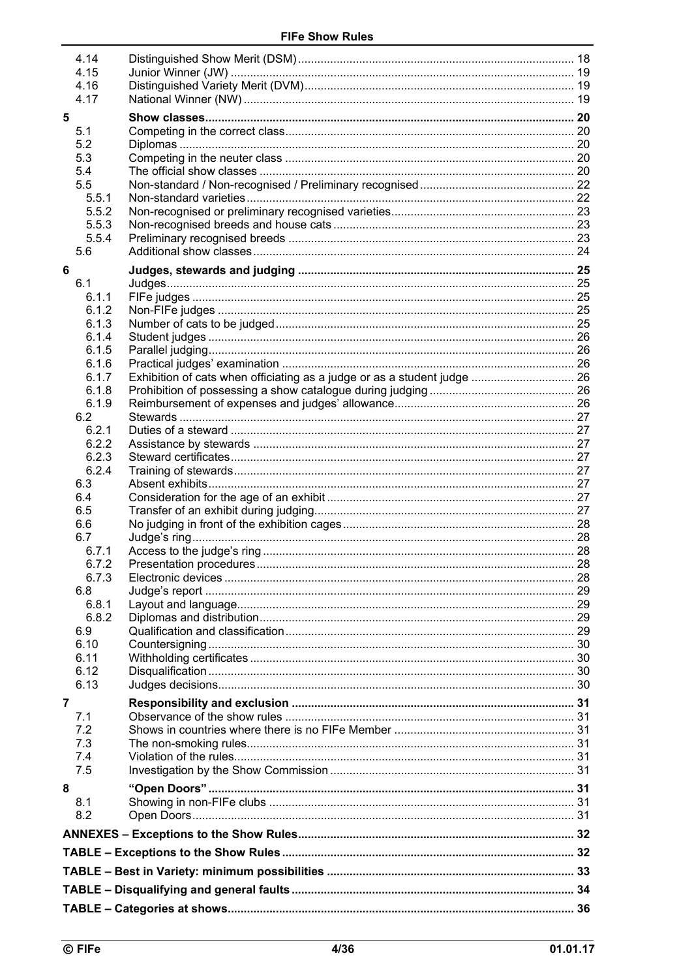|   | 4.14           |                                                                          |  |  |  |  |
|---|----------------|--------------------------------------------------------------------------|--|--|--|--|
|   | 4.15           |                                                                          |  |  |  |  |
|   | 4.16           |                                                                          |  |  |  |  |
|   | 4.17           |                                                                          |  |  |  |  |
| 5 |                |                                                                          |  |  |  |  |
|   | 5.1            |                                                                          |  |  |  |  |
|   | 5.2            |                                                                          |  |  |  |  |
|   | 5.3            |                                                                          |  |  |  |  |
|   | 5.4            |                                                                          |  |  |  |  |
|   | 5.5            |                                                                          |  |  |  |  |
|   | 5.5.1          |                                                                          |  |  |  |  |
|   | 5.5.2          |                                                                          |  |  |  |  |
|   | 5.5.3<br>5.5.4 |                                                                          |  |  |  |  |
|   | 5.6            |                                                                          |  |  |  |  |
|   |                |                                                                          |  |  |  |  |
| 6 |                |                                                                          |  |  |  |  |
|   | 6.1            |                                                                          |  |  |  |  |
|   | 6.1.1          |                                                                          |  |  |  |  |
|   | 6.1.2          |                                                                          |  |  |  |  |
|   | 6.1.3<br>6.1.4 |                                                                          |  |  |  |  |
|   | 6.1.5          |                                                                          |  |  |  |  |
|   | 6.1.6          |                                                                          |  |  |  |  |
|   | 6.1.7          | Exhibition of cats when officiating as a judge or as a student judge  26 |  |  |  |  |
|   | 6.1.8          |                                                                          |  |  |  |  |
|   | 6.1.9          |                                                                          |  |  |  |  |
|   | 6.2            |                                                                          |  |  |  |  |
|   | 6.2.1          |                                                                          |  |  |  |  |
|   | 6.2.2          |                                                                          |  |  |  |  |
|   | 6.2.3          |                                                                          |  |  |  |  |
|   | 6.2.4          |                                                                          |  |  |  |  |
|   | 6.3            |                                                                          |  |  |  |  |
|   | 6.4            |                                                                          |  |  |  |  |
|   | 6.5            |                                                                          |  |  |  |  |
|   | 6.6            |                                                                          |  |  |  |  |
|   | 6.7            |                                                                          |  |  |  |  |
|   | 6.7.1<br>6.7.2 |                                                                          |  |  |  |  |
|   | 6.7.3          |                                                                          |  |  |  |  |
|   | 6.8            |                                                                          |  |  |  |  |
|   | 6.8.1          |                                                                          |  |  |  |  |
|   | 6.8.2          |                                                                          |  |  |  |  |
|   | 6.9            |                                                                          |  |  |  |  |
|   | 6.10           |                                                                          |  |  |  |  |
|   | 6.11           |                                                                          |  |  |  |  |
|   | 6.12           |                                                                          |  |  |  |  |
|   | 6.13           |                                                                          |  |  |  |  |
| 7 |                |                                                                          |  |  |  |  |
|   | 7.1            |                                                                          |  |  |  |  |
|   | 7.2            |                                                                          |  |  |  |  |
|   | 7.3            |                                                                          |  |  |  |  |
|   | 7.4            |                                                                          |  |  |  |  |
|   | 7.5            |                                                                          |  |  |  |  |
| 8 |                |                                                                          |  |  |  |  |
|   | 8.1            |                                                                          |  |  |  |  |
|   | 8.2            |                                                                          |  |  |  |  |
|   |                |                                                                          |  |  |  |  |
|   |                |                                                                          |  |  |  |  |
|   |                |                                                                          |  |  |  |  |
|   |                |                                                                          |  |  |  |  |
|   |                |                                                                          |  |  |  |  |
|   |                |                                                                          |  |  |  |  |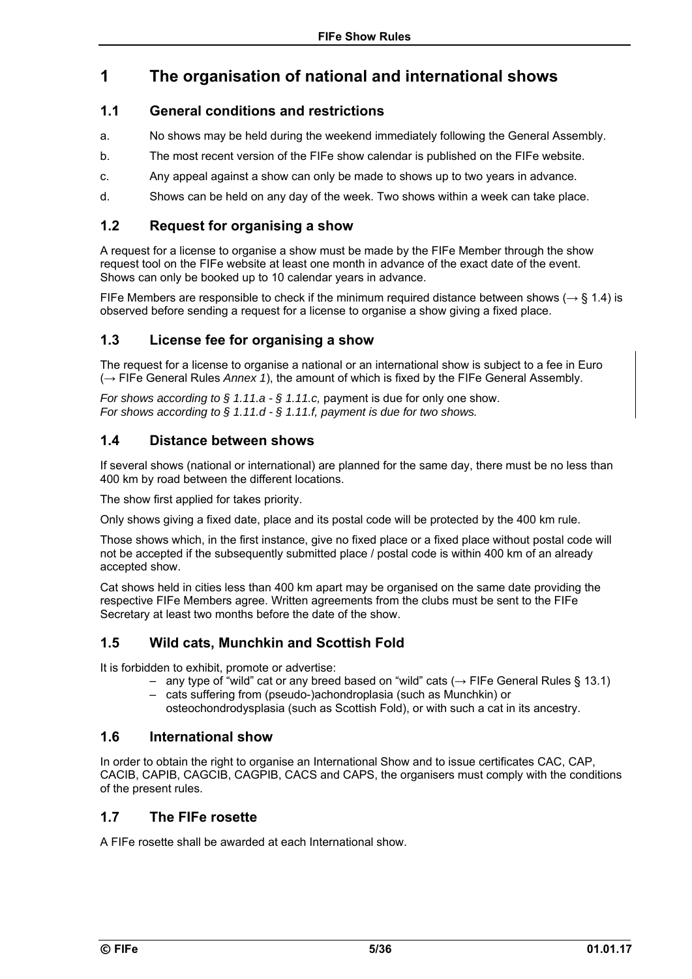## **1 The organisation of national and international shows**

### **1.1 General conditions and restrictions**

- a. No shows may be held during the weekend immediately following the General Assembly.
- b. The most recent version of the FIFe show calendar is published on the FIFe website.
- c. Any appeal against a show can only be made to shows up to two years in advance.
- d. Shows can be held on any day of the week. Two shows within a week can take place.

### **1.2 Request for organising a show**

A request for a license to organise a show must be made by the FIFe Member through the show request tool on the FIFe website at least one month in advance of the exact date of the event. Shows can only be booked up to 10 calendar years in advance.

FIFe Members are responsible to check if the minimum required distance between shows ( $\rightarrow$  § 1.4) is observed before sending a request for a license to organise a show giving a fixed place.

### **1.3 License fee for organising a show**

The request for a license to organise a national or an international show is subject to a fee in Euro (→ FIFe General Rules *Annex 1*), the amount of which is fixed by the FIFe General Assembly.

*For shows according to § 1.11.a - § 1.11.c,* payment is due for only one show. *For shows according to § 1.11.d - § 1.11.f, payment is due for two shows.* 

### **1.4 Distance between shows**

If several shows (national or international) are planned for the same day, there must be no less than 400 km by road between the different locations.

The show first applied for takes priority.

Only shows giving a fixed date, place and its postal code will be protected by the 400 km rule.

Those shows which, in the first instance, give no fixed place or a fixed place without postal code will not be accepted if the subsequently submitted place / postal code is within 400 km of an already accepted show.

Cat shows held in cities less than 400 km apart may be organised on the same date providing the respective FIFe Members agree. Written agreements from the clubs must be sent to the FIFe Secretary at least two months before the date of the show.

## **1.5 Wild cats, Munchkin and Scottish Fold**

It is forbidden to exhibit, promote or advertise:

- any type of "wild" cat or any breed based on "wild" cats (→ FIFe General Rules § 13.1)
- cats suffering from (pseudo-)achondroplasia (such as Munchkin) or osteochondrodysplasia (such as Scottish Fold), or with such a cat in its ancestry.

### **1.6 International show**

In order to obtain the right to organise an International Show and to issue certificates CAC, CAP, CACIB, CAPIB, CAGCIB, CAGPIB, CACS and CAPS, the organisers must comply with the conditions of the present rules.

### **1.7 The FIFe rosette**

A FIFe rosette shall be awarded at each International show.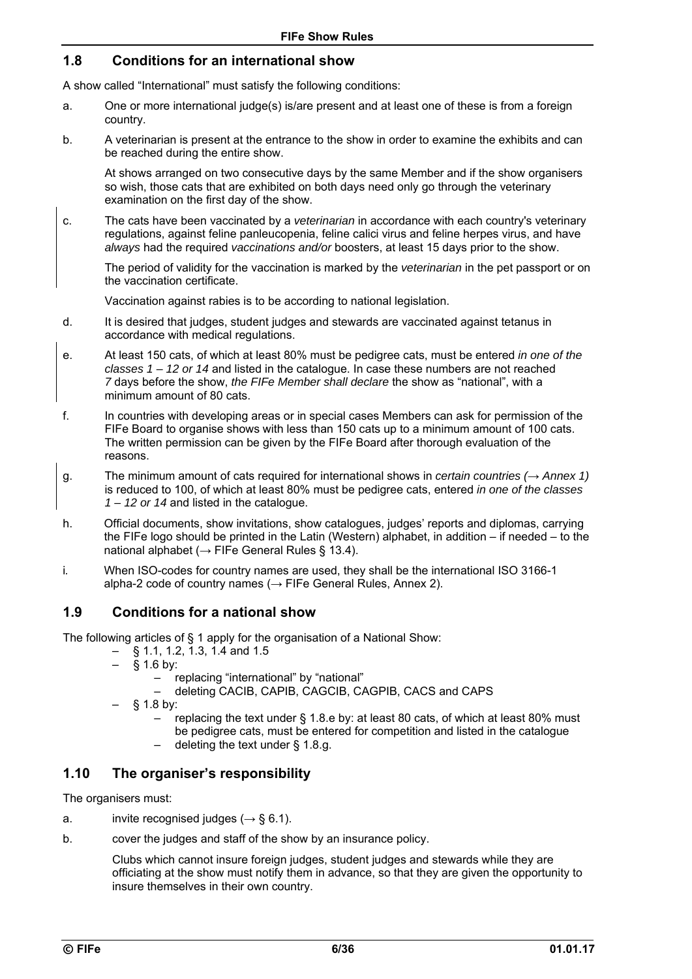### **1.8 Conditions for an international show**

A show called "International" must satisfy the following conditions:

- a. One or more international judge(s) is/are present and at least one of these is from a foreign country.
- b. A veterinarian is present at the entrance to the show in order to examine the exhibits and can be reached during the entire show.

At shows arranged on two consecutive days by the same Member and if the show organisers so wish, those cats that are exhibited on both days need only go through the veterinary examination on the first day of the show.

c. The cats have been vaccinated by a *veterinarian* in accordance with each country's veterinary regulations, against feline panleucopenia, feline calici virus and feline herpes virus, and have *always* had the required *vaccinations and/or* boosters, at least 15 days prior to the show.

 The period of validity for the vaccination is marked by the *veterinarian* in the pet passport or on the vaccination certificate.

Vaccination against rabies is to be according to national legislation.

- d. It is desired that judges, student judges and stewards are vaccinated against tetanus in accordance with medical regulations.
- e. At least 150 cats, of which at least 80% must be pedigree cats, must be entered *in one of the classes 1 – 12 or 14* and listed in the catalogue. In case these numbers are not reached *7* days before the show, *the FIFe Member shall declare* the show as "national", with a minimum amount of 80 cats.
- f. In countries with developing areas or in special cases Members can ask for permission of the FIFe Board to organise shows with less than 150 cats up to a minimum amount of 100 cats. The written permission can be given by the FIFe Board after thorough evaluation of the reasons.
- g. The minimum amount of cats required for international shows in *certain countries (→ Annex 1)* is reduced to 100, of which at least 80% must be pedigree cats, entered *in one of the classes 1 – 12 or 14* and listed in the catalogue.
- h. Official documents, show invitations, show catalogues, judges' reports and diplomas, carrying the FIFe logo should be printed in the Latin (Western) alphabet, in addition – if needed – to the national alphabet ( $\rightarrow$  FIFe General Rules § 13.4).
- i*.* When ISO-codes for country names are used, they shall be the international ISO 3166-1 alpha-2 code of country names ( $\rightarrow$  FIFe General Rules, Annex 2).

### **1.9 Conditions for a national show**

The following articles of § 1 apply for the organisation of a National Show:

- § 1.1, 1.2, 1.3, 1.4 and 1.5
- $§$  1.6 by:
	- replacing "international" by "national"
	- deleting CACIB, CAPIB, CAGCIB, CAGPIB, CACS and CAPS
- $§$  1.8 by:
	- replacing the text under § 1.8.e by: at least 80 cats, of which at least 80% must be pedigree cats, must be entered for competition and listed in the catalogue
	- deleting the text under § 1.8.g.

### **1.10 The organiser's responsibility**

The organisers must:

- a. invite recognised judges (*→* § 6.1).
- b. cover the judges and staff of the show by an insurance policy.

Clubs which cannot insure foreign judges, student judges and stewards while they are officiating at the show must notify them in advance, so that they are given the opportunity to insure themselves in their own country.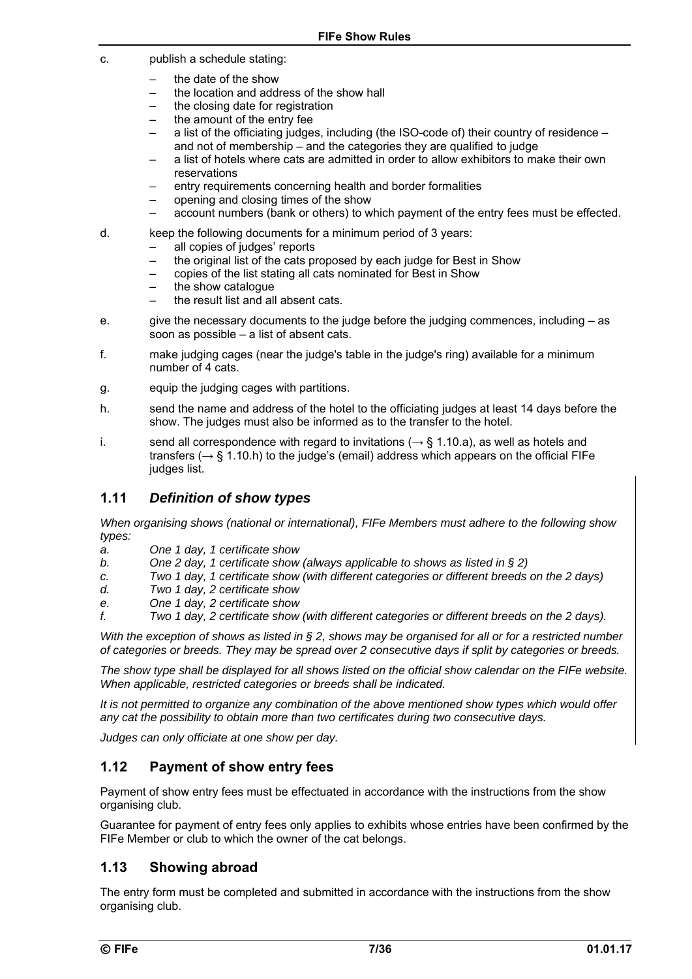- c. publish a schedule stating:
	- the date of the show
	- the location and address of the show hall
	- the closing date for registration
	- the amount of the entry fee
	- a list of the officiating judges, including (the ISO-code of) their country of residence and not of membership *–* and the categories they are qualified to judge
	- a list of hotels where cats are admitted in order to allow exhibitors to make their own reservations
	- entry requirements concerning health and border formalities
	- opening and closing times of the show
	- account numbers (bank or others) to which payment of the entry fees must be effected.
- d. keep the following documents for a minimum period of 3 years:
	- all copies of judges' reports
	- the original list of the cats proposed by each judge for Best in Show
	- copies of the list stating all cats nominated for Best in Show
	- the show catalogue
	- the result list and all absent cats.
- e. give the necessary documents to the judge before the judging commences, including as soon as possible – a list of absent cats.
- f. make judging cages (near the judge's table in the judge's ring) available for a minimum number of 4 cats.
- g. equip the judging cages with partitions.
- h. send the name and address of the hotel to the officiating judges at least 14 days before the show. The judges must also be informed as to the transfer to the hotel.
- i. send all correspondence with regard to invitations ( $\rightarrow$  § 1.10.a), as well as hotels and transfers ( $\rightarrow$  § 1.10.h) to the judge's (email) address which appears on the official FIFe judges list.

### **1.11** *Definition of show types*

*When organising shows (national or international), FIFe Members must adhere to the following show types:* 

- *a. One 1 day, 1 certificate show*
- *b. One 2 day, 1 certificate show (always applicable to shows as listed in § 2)*
- *c. Two 1 day, 1 certificate show (with different categories or different breeds on the 2 days)*
- *d. Two 1 day, 2 certificate show*
- *e. One 1 day, 2 certificate show*
- *f. Two 1 day, 2 certificate show (with different categories or different breeds on the 2 days).*

*With the exception of shows as listed in § 2, shows may be organised for all or for a restricted number of categories or breeds. They may be spread over 2 consecutive days if split by categories or breeds.* 

*The show type shall be displayed for all shows listed on the official show calendar on the FIFe website. When applicable, restricted categories or breeds shall be indicated.* 

*It is not permitted to organize any combination of the above mentioned show types which would offer any cat the possibility to obtain more than two certificates during two consecutive days.* 

*Judges can only officiate at one show per day.* 

### **1.12 Payment of show entry fees**

Payment of show entry fees must be effectuated in accordance with the instructions from the show organising club.

Guarantee for payment of entry fees only applies to exhibits whose entries have been confirmed by the FIFe Member or club to which the owner of the cat belongs.

### **1.13 Showing abroad**

The entry form must be completed and submitted in accordance with the instructions from the show organising club.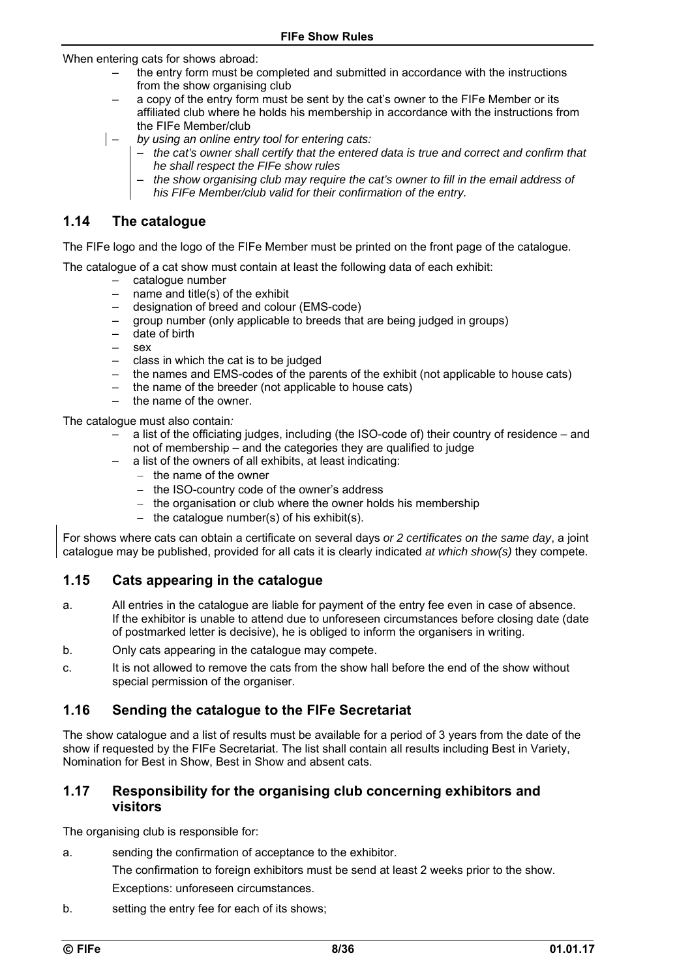When entering cats for shows abroad:

- the entry form must be completed and submitted in accordance with the instructions from the show organising club
- a copy of the entry form must be sent by the cat's owner to the FIFe Member or its affiliated club where he holds his membership in accordance with the instructions from the FIFe Member/club
- *by using an online entry tool for entering cats:* 
	- *the cat's owner shall certify that the entered data is true and correct and confirm that he shall respect the FIFe show rules*
	- *the show organising club may require the cat's owner to fill in the email address of his FIFe Member/club valid for their confirmation of the entry.*

### **1.14 The catalogue**

The FIFe logo and the logo of the FIFe Member must be printed on the front page of the catalogue.

The catalogue of a cat show must contain at least the following data of each exhibit:

- catalogue number
- name and title(s) of the exhibit
- designation of breed and colour (EMS-code)
- group number (only applicable to breeds that are being judged in groups)
- date of birth
- sex
- class in which the cat is to be judged
- the names and EMS-codes of the parents of the exhibit (not applicable to house cats)
- the name of the breeder (not applicable to house cats)
- the name of the owner.

The catalogue must also contain*:* 

- a list of the officiating judges, including (the ISO-code of) their country of residence and not of membership – and the categories they are qualified to judge
- a list of the owners of all exhibits, at least indicating:
	- $-$  the name of the owner
	- the ISO-country code of the owner's address
	- the organisation or club where the owner holds his membership
	- the catalogue number(s) of his exhibit(s).

For shows where cats can obtain a certificate on several days *or 2 certificates on the same day*, a joint catalogue may be published, provided for all cats it is clearly indicated *at which show(s)* they compete.

### **1.15 Cats appearing in the catalogue**

- a. All entries in the catalogue are liable for payment of the entry fee even in case of absence. If the exhibitor is unable to attend due to unforeseen circumstances before closing date (date of postmarked letter is decisive), he is obliged to inform the organisers in writing.
- b. Only cats appearing in the catalogue may compete.
- c. It is not allowed to remove the cats from the show hall before the end of the show without special permission of the organiser.

### **1.16 Sending the catalogue to the FIFe Secretariat**

The show catalogue and a list of results must be available for a period of 3 years from the date of the show if requested by the FIFe Secretariat. The list shall contain all results including Best in Variety, Nomination for Best in Show, Best in Show and absent cats.

### **1.17 Responsibility for the organising club concerning exhibitors and visitors**

The organising club is responsible for:

- a. sending the confirmation of acceptance to the exhibitor.
	- The confirmation to foreign exhibitors must be send at least 2 weeks prior to the show. Exceptions: unforeseen circumstances.
- b. setting the entry fee for each of its shows;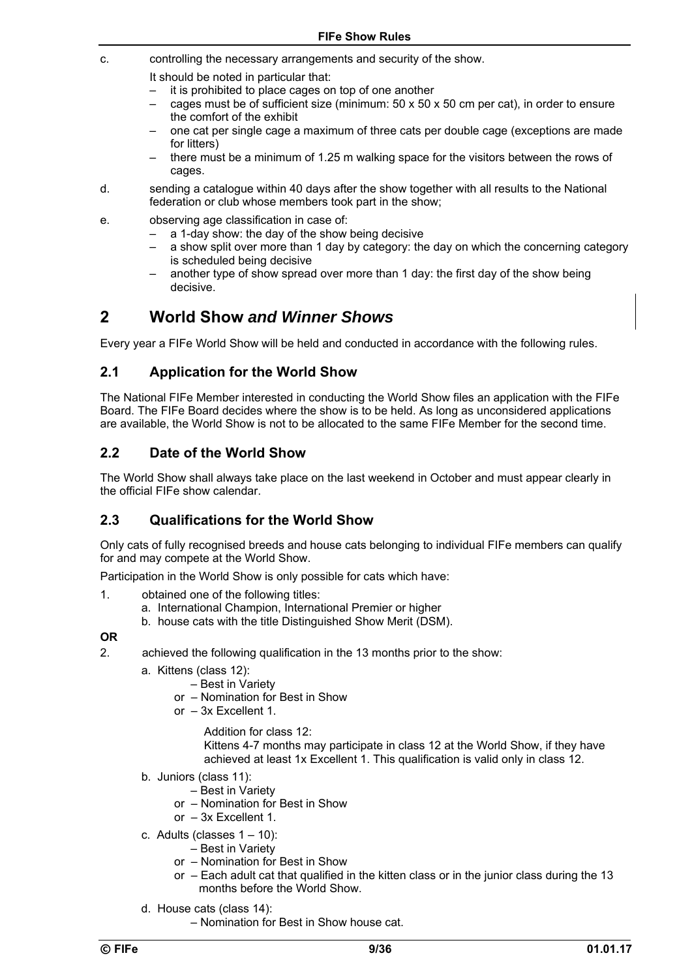- c. controlling the necessary arrangements and security of the show.
	- It should be noted in particular that:
	- it is prohibited to place cages on top of one another
	- cages must be of sufficient size (minimum:  $50 \times 50 \times 50$  cm per cat), in order to ensure the comfort of the exhibit
	- one cat per single cage a maximum of three cats per double cage (exceptions are made for litters)
	- there must be a minimum of 1.25 m walking space for the visitors between the rows of cages.
- d. sending a catalogue within 40 days after the show together with all results to the National federation or club whose members took part in the show;
- e. observing age classification in case of:
	- a 1-day show: the day of the show being decisive
	- a show split over more than 1 day by category: the day on which the concerning category is scheduled being decisive
	- another type of show spread over more than 1 day: the first day of the show being decisive.

## **2 World Show** *and Winner Shows*

Every year a FIFe World Show will be held and conducted in accordance with the following rules.

### **2.1 Application for the World Show**

The National FIFe Member interested in conducting the World Show files an application with the FIFe Board. The FIFe Board decides where the show is to be held. As long as unconsidered applications are available, the World Show is not to be allocated to the same FIFe Member for the second time.

### **2.2 Date of the World Show**

The World Show shall always take place on the last weekend in October and must appear clearly in the official FIFe show calendar.

### **2.3 Qualifications for the World Show**

Only cats of fully recognised breeds and house cats belonging to individual FIFe members can qualify for and may compete at the World Show.

Participation in the World Show is only possible for cats which have:

- 1. obtained one of the following titles:
	- a. International Champion, International Premier or higher
	- b. house cats with the title Distinguished Show Merit (DSM).

#### **OR**

- 2. achieved the following qualification in the 13 months prior to the show:
	- a. Kittens (class 12):
		- Best in Variety
		- or Nomination for Best in Show
		- or 3x Excellent 1.
			- Addition for class 12:

Kittens 4-7 months may participate in class 12 at the World Show, if they have achieved at least 1x Excellent 1. This qualification is valid only in class 12.

- b. Juniors (class 11):
	- Best in Variety
	- or Nomination for Best in Show
	- or 3x Excellent 1.
- c. Adults (classes  $1 10$ ):
	- Best in Variety
	- or Nomination for Best in Show
	- or Each adult cat that qualified in the kitten class or in the junior class during the 13 months before the World Show.
- d. House cats (class 14):
	- Nomination for Best in Show house cat.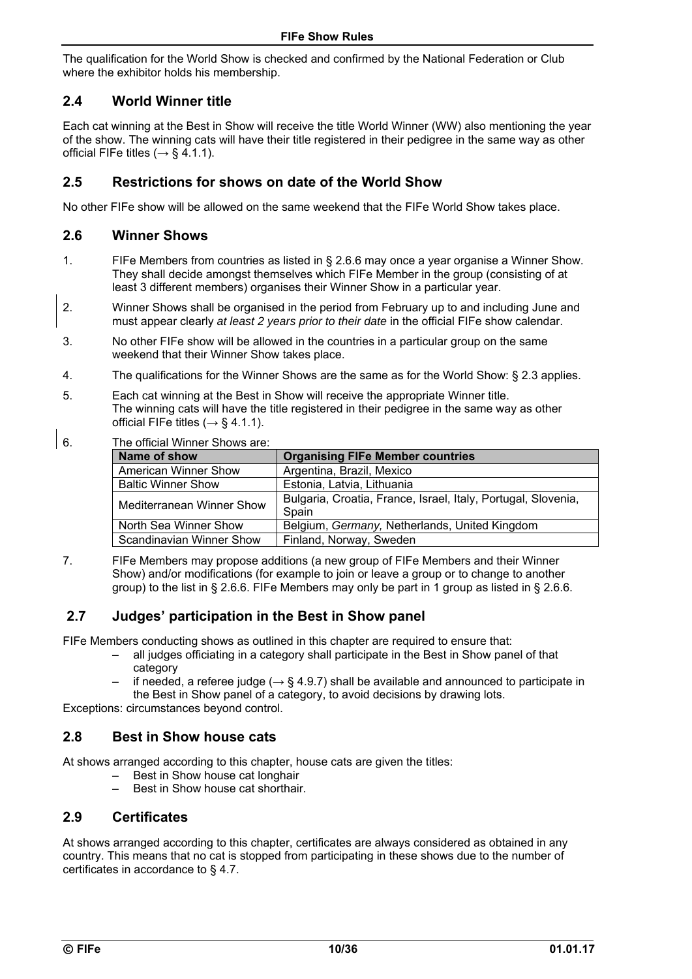The qualification for the World Show is checked and confirmed by the National Federation or Club where the exhibitor holds his membership.

### **2.4 World Winner title**

Each cat winning at the Best in Show will receive the title World Winner (WW) also mentioning the year of the show. The winning cats will have their title registered in their pedigree in the same way as other official FIFe titles ( $\rightarrow$  § 4.1.1).

### **2.5 Restrictions for shows on date of the World Show**

No other FIFe show will be allowed on the same weekend that the FIFe World Show takes place.

### **2.6 Winner Shows**

- 1. FIFe Members from countries as listed in § 2.6.6 may once a year organise a Winner Show. They shall decide amongst themselves which FIFe Member in the group (consisting of at least 3 different members) organises their Winner Show in a particular year.
- 2. Winner Shows shall be organised in the period from February up to and including June and must appear clearly *at least 2 years prior to their date* in the official FIFe show calendar.
- 3. No other FIFe show will be allowed in the countries in a particular group on the same weekend that their Winner Show takes place.
- 4. The qualifications for the Winner Shows are the same as for the World Show: § 2.3 applies.
- 5. Each cat winning at the Best in Show will receive the appropriate Winner title. The winning cats will have the title registered in their pedigree in the same way as other official FIFe titles ( $\rightarrow$  § 4.1.1).
- 6. The official Winner Shows are:

| Name of show                     | <b>Organising FIFe Member countries</b>                                |
|----------------------------------|------------------------------------------------------------------------|
| American Winner Show             | Argentina, Brazil, Mexico                                              |
| <b>Baltic Winner Show</b>        | Estonia, Latvia, Lithuania                                             |
| <b>Mediterranean Winner Show</b> | Bulgaria, Croatia, France, Israel, Italy, Portugal, Slovenia,<br>Spain |
| North Sea Winner Show            | Belgium, Germany, Netherlands, United Kingdom                          |
| <b>Scandinavian Winner Show</b>  | Finland, Norway, Sweden                                                |

7. FIFe Members may propose additions (a new group of FIFe Members and their Winner Show) and/or modifications (for example to join or leave a group or to change to another group) to the list in § 2.6.6. FIFe Members may only be part in 1 group as listed in § 2.6.6.

### **2.7 Judges' participation in the Best in Show panel**

FIFe Members conducting shows as outlined in this chapter are required to ensure that:

- all judges officiating in a category shall participate in the Best in Show panel of that category
- if needed, a referee judge ( $\rightarrow$  § 4.9.7) shall be available and announced to participate in the Best in Show panel of a category, to avoid decisions by drawing lots.

Exceptions: circumstances beyond control.

#### **2.8 Best in Show house cats**

At shows arranged according to this chapter, house cats are given the titles:

- Best in Show house cat longhair
- Best in Show house cat shorthair.

### **2.9 Certificates**

At shows arranged according to this chapter, certificates are always considered as obtained in any country. This means that no cat is stopped from participating in these shows due to the number of certificates in accordance to § 4.7.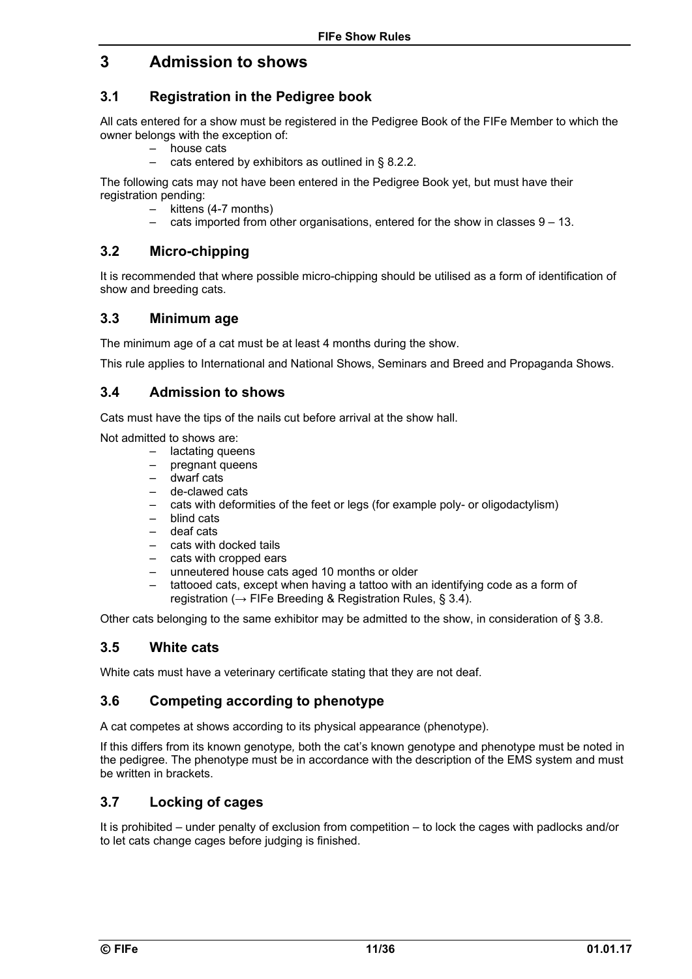## **3 Admission to shows**

### **3.1 Registration in the Pedigree book**

All cats entered for a show must be registered in the Pedigree Book of the FIFe Member to which the owner belongs with the exception of:

- house cats
	- cats entered by exhibitors as outlined in § 8.2.2.

The following cats may not have been entered in the Pedigree Book yet, but must have their registration pending:

- kittens (4-7 months)
- cats imported from other organisations, entered for the show in classes  $9 13$ .

### **3.2 Micro-chipping**

It is recommended that where possible micro-chipping should be utilised as a form of identification of show and breeding cats.

### **3.3 Minimum age**

The minimum age of a cat must be at least 4 months during the show.

This rule applies to International and National Shows, Seminars and Breed and Propaganda Shows.

### **3.4 Admission to shows**

Cats must have the tips of the nails cut before arrival at the show hall.

Not admitted to shows are:

- lactating queens
- pregnant queens
- dwarf cats
- de-clawed cats
- cats with deformities of the feet or legs (for example poly- or oligodactylism)
- blind cats
- deaf cats
- cats with docked tails
- cats with cropped ears
- unneutered house cats aged 10 months or older
- tattooed cats, except when having a tattoo with an identifying code as a form of registration ( $\rightarrow$  FIFe Breeding & Registration Rules, § 3.4).

Other cats belonging to the same exhibitor may be admitted to the show, in consideration of § 3.8.

### **3.5 White cats**

White cats must have a veterinary certificate stating that they are not deaf.

### **3.6 Competing according to phenotype**

A cat competes at shows according to its physical appearance (phenotype).

If this differs from its known genotype*,* both the cat's known genotype and phenotype must be noted in the pedigree. The phenotype must be in accordance with the description of the EMS system and must be written in brackets.

### **3.7 Locking of cages**

It is prohibited – under penalty of exclusion from competition – to lock the cages with padlocks and/or to let cats change cages before judging is finished.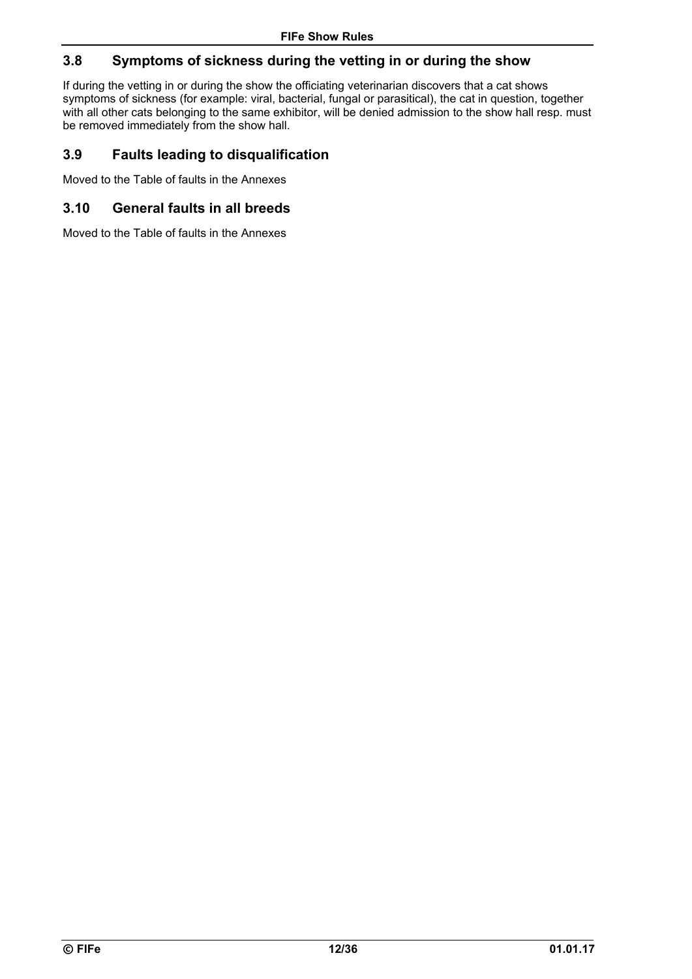### **3.8 Symptoms of sickness during the vetting in or during the show**

If during the vetting in or during the show the officiating veterinarian discovers that a cat shows symptoms of sickness (for example: viral, bacterial, fungal or parasitical), the cat in question, together with all other cats belonging to the same exhibitor, will be denied admission to the show hall resp. must be removed immediately from the show hall.

### **3.9 Faults leading to disqualification**

Moved to the Table of faults in the Annexes

### **3.10 General faults in all breeds**

Moved to the Table of faults in the Annexes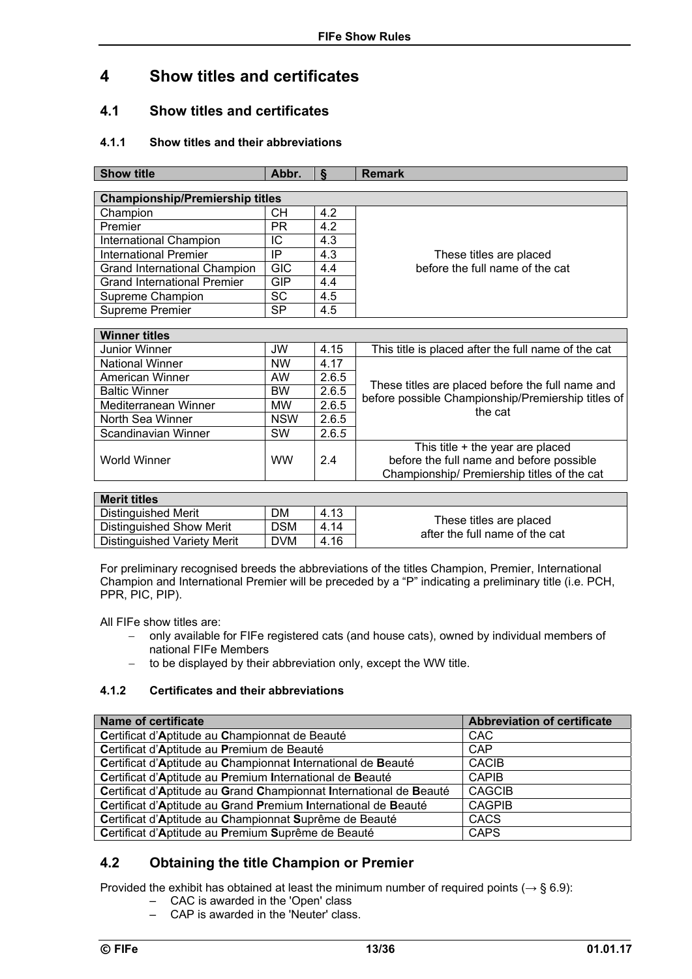## **4 Show titles and certificates**

### **4.1 Show titles and certificates**

### **4.1.1 Show titles and their abbreviations**

| <b>Show title</b>                      | Abbr.      | δ     | <b>Remark</b>                                                                                          |  |  |  |  |
|----------------------------------------|------------|-------|--------------------------------------------------------------------------------------------------------|--|--|--|--|
|                                        |            |       |                                                                                                        |  |  |  |  |
| <b>Championship/Premiership titles</b> |            |       |                                                                                                        |  |  |  |  |
| Champion                               | CН         | 4.2   |                                                                                                        |  |  |  |  |
| Premier                                | <b>PR</b>  | 4.2   |                                                                                                        |  |  |  |  |
| International Champion                 | ΙC         | 4.3   |                                                                                                        |  |  |  |  |
| <b>International Premier</b>           | IP         | 4.3   | These titles are placed                                                                                |  |  |  |  |
| Grand International Champion           | <b>GIC</b> | 4.4   | before the full name of the cat                                                                        |  |  |  |  |
| <b>Grand International Premier</b>     | <b>GIP</b> | 4.4   |                                                                                                        |  |  |  |  |
| Supreme Champion                       | <b>SC</b>  | 4.5   |                                                                                                        |  |  |  |  |
| Supreme Premier                        | <b>SP</b>  | 4.5   |                                                                                                        |  |  |  |  |
|                                        |            |       |                                                                                                        |  |  |  |  |
| <b>Winner titles</b>                   |            |       |                                                                                                        |  |  |  |  |
| Junior Winner                          | JW         | 4.15  | This title is placed after the full name of the cat                                                    |  |  |  |  |
| <b>National Winner</b>                 | <b>NW</b>  | 4.17  |                                                                                                        |  |  |  |  |
| American Winner                        | AW         | 2.6.5 |                                                                                                        |  |  |  |  |
| <b>Baltic Winner</b>                   | BW         | 2.6.5 | These titles are placed before the full name and<br>before possible Championship/Premiership titles of |  |  |  |  |
| Mediterranean Winner                   | <b>MW</b>  | 2.6.5 | the cat                                                                                                |  |  |  |  |
| North Sea Winner                       | <b>NSW</b> | 2.6.5 |                                                                                                        |  |  |  |  |
| Scandinavian Winner                    | SW         | 2.6.5 |                                                                                                        |  |  |  |  |
|                                        |            |       | This title + the year are placed                                                                       |  |  |  |  |
| <b>World Winner</b>                    | <b>WW</b>  | 2.4   | before the full name and before possible                                                               |  |  |  |  |
|                                        |            |       | Championship/ Premiership titles of the cat                                                            |  |  |  |  |
|                                        |            |       |                                                                                                        |  |  |  |  |
| <b>Merit titles</b>                    |            |       |                                                                                                        |  |  |  |  |

| Merit titles                       |            |      |                                                           |
|------------------------------------|------------|------|-----------------------------------------------------------|
| Distinguished Merit                | DM         | 4.13 |                                                           |
| Distinguished Show Merit           | <b>DSM</b> | 4.14 | These titles are placed<br>after the full name of the cat |
| <b>Distinguished Variety Merit</b> | <b>DVM</b> | 4.16 |                                                           |

For preliminary recognised breeds the abbreviations of the titles Champion, Premier, International Champion and International Premier will be preceded by a "P" indicating a preliminary title (i.e. PCH, PPR, PIC, PIP).

All FIFe show titles are:

- only available for FIFe registered cats (and house cats), owned by individual members of national FIFe Members
- $-$  to be displayed by their abbreviation only, except the WW title.

#### **4.1.2 Certificates and their abbreviations**

| <b>Name of certificate</b>                                         | <b>Abbreviation of certificate</b> |
|--------------------------------------------------------------------|------------------------------------|
| Certificat d'Aptitude au Championnat de Beauté                     | <b>CAC</b>                         |
| Certificat d'Aptitude au Premium de Beauté                         | CAP                                |
| Certificat d'Aptitude au Championnat International de Beauté       | <b>CACIB</b>                       |
| Certificat d'Aptitude au Premium International de Beauté           | <b>CAPIB</b>                       |
| Certificat d'Aptitude au Grand Championnat International de Beauté | <b>CAGCIB</b>                      |
| Certificat d'Aptitude au Grand Premium International de Beauté     | <b>CAGPIB</b>                      |
| Certificat d'Aptitude au Championnat Suprême de Beauté             | <b>CACS</b>                        |
| Certificat d'Aptitude au Premium Suprême de Beauté                 | <b>CAPS</b>                        |

### **4.2 Obtaining the title Champion or Premier**

Provided the exhibit has obtained at least the minimum number of required points (*→* § 6.9):

- CAC is awarded in the 'Open' class
- CAP is awarded in the 'Neuter' class.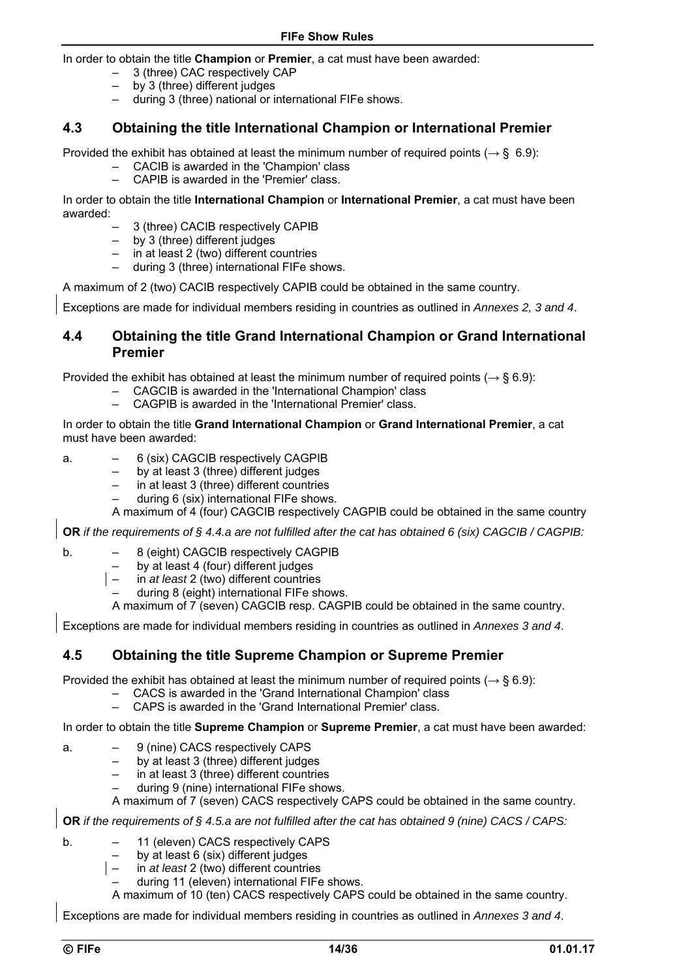In order to obtain the title **Champion** or **Premier**, a cat must have been awarded:

- 3 (three) CAC respectively CAP
- $-$  by 3 (three) different judges
- during 3 (three) national or international FIFe shows.

### **4.3 Obtaining the title International Champion or International Premier**

Provided the exhibit has obtained at least the minimum number of required points (*→* § 6.9):

- CACIB is awarded in the 'Champion' class
- CAPIB is awarded in the 'Premier' class.

In order to obtain the title **International Champion** or **International Premier**, a cat must have been awarded:

- 3 (three) CACIB respectively CAPIB
- by 3 (three) different judges
- in at least 2 (two) different countries
- during 3 (three) international FIFe shows.

A maximum of 2 (two) CACIB respectively CAPIB could be obtained in the same country.

Exceptions are made for individual members residing in countries as outlined in *Annexes 2, 3 and 4*.

### **4.4 Obtaining the title Grand International Champion or Grand International Premier**

Provided the exhibit has obtained at least the minimum number of required points (*→* § 6.9):

- CAGCIB is awarded in the 'International Champion' class
- CAGPIB is awarded in the 'International Premier' class.

In order to obtain the title **Grand International Champion** or **Grand International Premier**, a cat must have been awarded:

- a. 6 (six) CAGCIB respectively CAGPIB
	- by at least 3 (three) different judges
	- in at least 3 (three) different countries
	- during 6 (six) international FIFe shows.

A maximum of 4 (four) CAGCIB respectively CAGPIB could be obtained in the same country

**OR** *if the requirements of § 4.4.a are not fulfilled after the cat has obtained 6 (six) CAGCIB / CAGPIB:*

- b. 8 (eight) CAGCIB respectively CAGPIB
	- by at least 4 (four) different judges<br>– in *at least* 2 (two) different countrie
	- in *at least* 2 (two) different countries
	- during 8 (eight) international FIFe shows.
	- A maximum of 7 (seven) CAGCIB resp. CAGPIB could be obtained in the same country.

Exceptions are made for individual members residing in countries as outlined in *Annexes 3 and 4*.

#### **4.5 Obtaining the title Supreme Champion or Supreme Premier**

Provided the exhibit has obtained at least the minimum number of required points (*→* § 6.9):

- CACS is awarded in the 'Grand International Champion' class
- CAPS is awarded in the 'Grand International Premier' class.

In order to obtain the title **Supreme Champion** or **Supreme Premier**, a cat must have been awarded:

- a. 9 (nine) CACS respectively CAPS
	- by at least 3 (three) different judges
	- in at least 3 (three) different countries
	- during 9 (nine) international FIFe shows.

A maximum of 7 (seven) CACS respectively CAPS could be obtained in the same country.

**OR** *if the requirements of § 4.5.a are not fulfilled after the cat has obtained 9 (nine) CACS / CAPS:*

- b. 11 (eleven) CACS respectively CAPS
	- by at least 6 (six) different judges
	- in *at least* 2 (two) different countries
	- during 11 (eleven) international FIFe shows.
	- A maximum of 10 (ten) CACS respectively CAPS could be obtained in the same country.

Exceptions are made for individual members residing in countries as outlined in *Annexes 3 and 4*.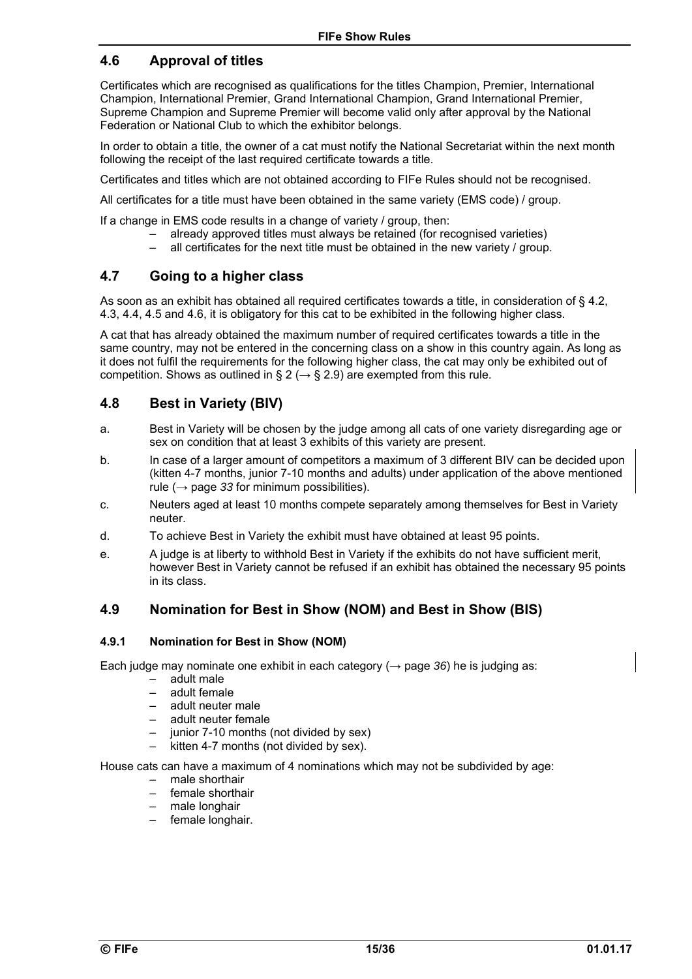### **4.6 Approval of titles**

Certificates which are recognised as qualifications for the titles Champion, Premier, International Champion, International Premier, Grand International Champion, Grand International Premier, Supreme Champion and Supreme Premier will become valid only after approval by the National Federation or National Club to which the exhibitor belongs.

In order to obtain a title, the owner of a cat must notify the National Secretariat within the next month following the receipt of the last required certificate towards a title.

Certificates and titles which are not obtained according to FIFe Rules should not be recognised.

All certificates for a title must have been obtained in the same variety (EMS code) / group.

If a change in EMS code results in a change of variety / group, then:

- already approved titles must always be retained (for recognised varieties)
- all certificates for the next title must be obtained in the new variety / group.

### **4.7 Going to a higher class**

As soon as an exhibit has obtained all required certificates towards a title, in consideration of § 4.2, 4.3, 4.4, 4.5 and 4.6, it is obligatory for this cat to be exhibited in the following higher class.

A cat that has already obtained the maximum number of required certificates towards a title in the same country, may not be entered in the concerning class on a show in this country again. As long as it does not fulfil the requirements for the following higher class, the cat may only be exhibited out of competition. Shows as outlined in § 2 ( $\rightarrow$  § 2.9) are exempted from this rule.

### **4.8 Best in Variety (BIV)**

- a. Best in Variety will be chosen by the judge among all cats of one variety disregarding age or sex on condition that at least 3 exhibits of this variety are present.
- b. In case of a larger amount of competitors a maximum of 3 different BIV can be decided upon (kitten 4-7 months, junior 7-10 months and adults) under application of the above mentioned rule ( $\rightarrow$  page 33 for minimum possibilities).
- c. Neuters aged at least 10 months compete separately among themselves for Best in Variety neuter.
- d. To achieve Best in Variety the exhibit must have obtained at least 95 points.
- e. A judge is at liberty to withhold Best in Variety if the exhibits do not have sufficient merit, however Best in Variety cannot be refused if an exhibit has obtained the necessary 95 points in its class.

### **4.9 Nomination for Best in Show (NOM) and Best in Show (BIS)**

#### **4.9.1 Nomination for Best in Show (NOM)**

Each judge may nominate one exhibit in each category  $(\rightarrow)$  page 36) he is judging as:

- adult male
- adult female
- adult neuter male
- adult neuter female
- junior 7-10 months (not divided by sex)
- kitten 4-7 months (not divided by sex).

House cats can have a maximum of 4 nominations which may not be subdivided by age:

- male shorthair
- female shorthair
- male longhair
- female longhair.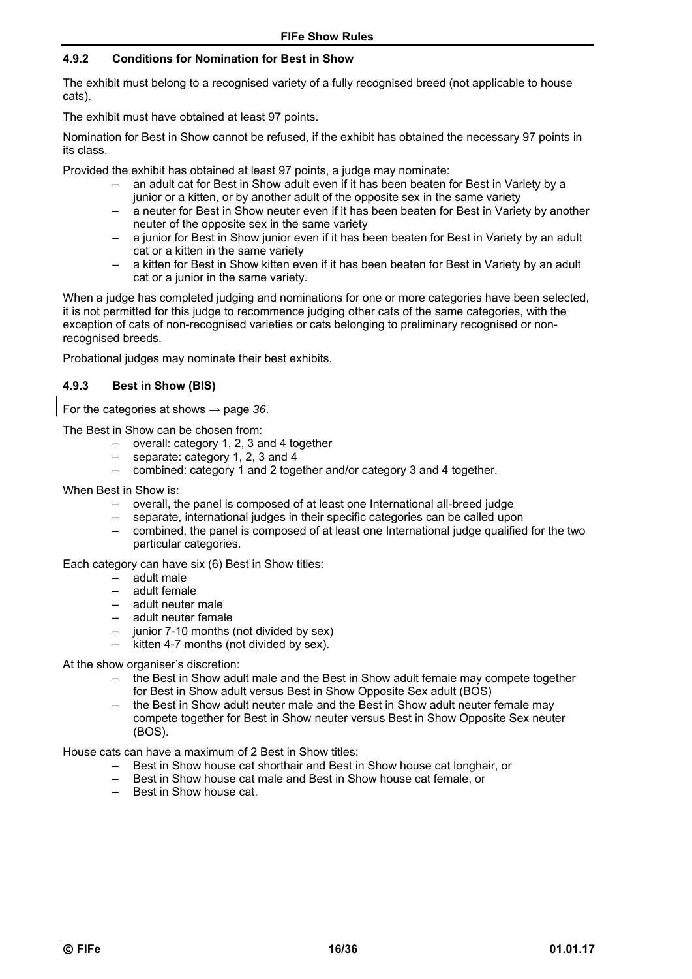#### **4.9.2 Conditions for Nomination for Best in Show**

The exhibit must belong to a recognised variety of a fully recognised breed (not applicable to house cats).

The exhibit must have obtained at least 97 points.

Nomination for Best in Show cannot be refused, if the exhibit has obtained the necessary 97 points in its class.

Provided the exhibit has obtained at least 97 points, a judge may nominate:

- an adult cat for Best in Show adult even if it has been beaten for Best in Variety by a junior or a kitten, or by another adult of the opposite sex in the same variety
- a neuter for Best in Show neuter even if it has been beaten for Best in Variety by another neuter of the opposite sex in the same variety
- a junior for Best in Show junior even if it has been beaten for Best in Variety by an adult cat or a kitten in the same variety
- a kitten for Best in Show kitten even if it has been beaten for Best in Variety by an adult cat or a junior in the same variety.

When a judge has completed judging and nominations for one or more categories have been selected, it is not permitted for this judge to recommence judging other cats of the same categories, with the exception of cats of non-recognised varieties or cats belonging to preliminary recognised or nonrecognised breeds.

Probational judges may nominate their best exhibits.

#### **4.9.3 Best in Show (BIS)**

For the categories at shows → page *36*.

The Best in Show can be chosen from:

- overall: category 1, 2, 3 and 4 together
- separate: category 1, 2, 3 and 4
- combined: category 1 and 2 together and/or category 3 and 4 together.

When Best in Show is:

- overall, the panel is composed of at least one International all-breed judge
- separate, international judges in their specific categories can be called upon
- combined, the panel is composed of at least one International judge qualified for the two particular categories.

Each category can have six (6) Best in Show titles:

- adult male
- adult female
- adult neuter male
- adult neuter female
- junior 7-10 months (not divided by sex)
- kitten 4-7 months (not divided by sex).

At the show organiser's discretion:

- the Best in Show adult male and the Best in Show adult female may compete together for Best in Show adult versus Best in Show Opposite Sex adult (BOS)
- the Best in Show adult neuter male and the Best in Show adult neuter female may compete together for Best in Show neuter versus Best in Show Opposite Sex neuter (BOS).

House cats can have a maximum of 2 Best in Show titles:

- Best in Show house cat shorthair and Best in Show house cat longhair, or
- Best in Show house cat male and Best in Show house cat female, or
- Best in Show house cat.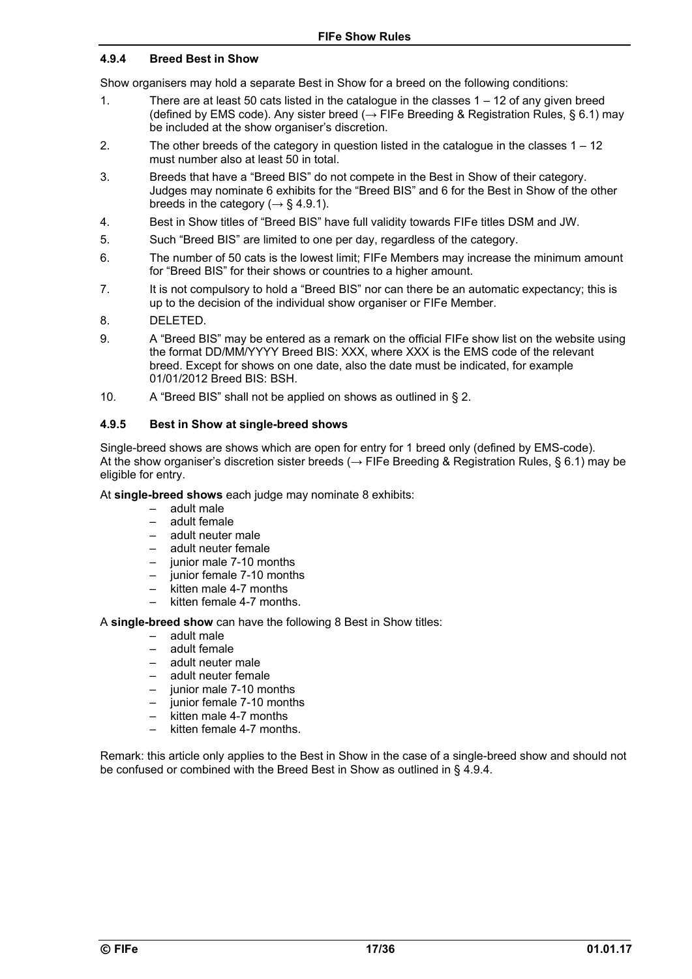#### **4.9.4 Breed Best in Show**

Show organisers may hold a separate Best in Show for a breed on the following conditions:

- 1. There are at least 50 cats listed in the catalogue in the classes 1 12 of any given breed (defined by EMS code). Any sister breed ( $\rightarrow$  FIFe Breeding & Registration Rules, § 6.1) may be included at the show organiser's discretion.
- 2. The other breeds of the category in question listed in the catalogue in the classes 1 12 must number also at least 50 in total.
- 3. Breeds that have a "Breed BIS" do not compete in the Best in Show of their category. Judges may nominate 6 exhibits for the "Breed BIS" and 6 for the Best in Show of the other breeds in the category ( $\rightarrow$  § 4.9.1).
- 4. Best in Show titles of "Breed BIS" have full validity towards FIFe titles DSM and JW.
- 5. Such "Breed BIS" are limited to one per day, regardless of the category.
- 6. The number of 50 cats is the lowest limit; FIFe Members may increase the minimum amount for "Breed BIS" for their shows or countries to a higher amount.
- 7. It is not compulsory to hold a "Breed BIS" nor can there be an automatic expectancy; this is up to the decision of the individual show organiser or FIFe Member.
- 8. DELETED.
- 9. A "Breed BIS" may be entered as a remark on the official FIFe show list on the website using the format DD/MM/YYYY Breed BIS: XXX, where XXX is the EMS code of the relevant breed. Except for shows on one date, also the date must be indicated, for example 01/01/2012 Breed BIS: BSH.
- 10. A "Breed BIS" shall not be applied on shows as outlined in § 2.

#### **4.9.5 Best in Show at single-breed shows**

Single-breed shows are shows which are open for entry for 1 breed only (defined by EMS-code). At the show organiser's discretion sister breeds (*→* FIFe Breeding & Registration Rules, § 6.1) may be eligible for entry.

At **single-breed shows** each judge may nominate 8 exhibits:

- adult male
- adult female
- adult neuter male
- adult neuter female
- junior male 7-10 months
- junior female 7-10 months
- kitten male 4-7 months
- kitten female 4-7 months.

A **single-breed show** can have the following 8 Best in Show titles:

- adult male
- adult female
- adult neuter male
- adult neuter female
- junior male 7-10 months
- junior female 7-10 months
- kitten male 4-7 months
- kitten female 4-7 months.

Remark: this article only applies to the Best in Show in the case of a single-breed show and should not be confused or combined with the Breed Best in Show as outlined in § 4.9.4.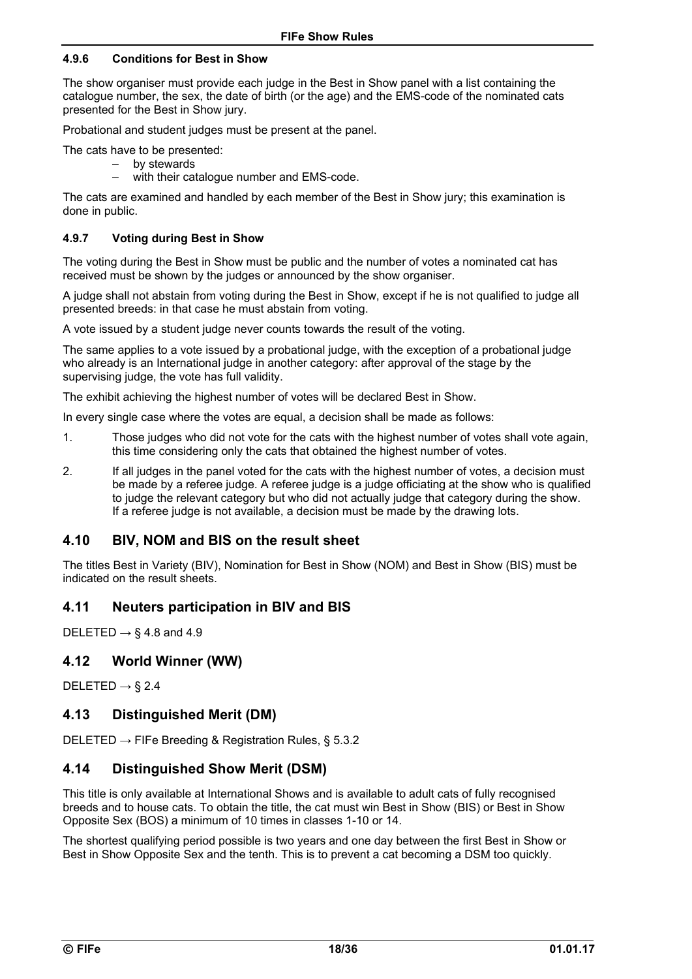#### **4.9.6 Conditions for Best in Show**

The show organiser must provide each judge in the Best in Show panel with a list containing the catalogue number, the sex, the date of birth (or the age) and the EMS-code of the nominated cats presented for the Best in Show jury.

Probational and student judges must be present at the panel.

The cats have to be presented:

- by stewards
- with their catalogue number and EMS-code.

The cats are examined and handled by each member of the Best in Show jury; this examination is done in public.

#### **4.9.7 Voting during Best in Show**

The voting during the Best in Show must be public and the number of votes a nominated cat has received must be shown by the judges or announced by the show organiser.

A judge shall not abstain from voting during the Best in Show, except if he is not qualified to judge all presented breeds: in that case he must abstain from voting.

A vote issued by a student judge never counts towards the result of the voting.

The same applies to a vote issued by a probational judge, with the exception of a probational judge who already is an International judge in another category: after approval of the stage by the supervising judge, the vote has full validity.

The exhibit achieving the highest number of votes will be declared Best in Show.

In every single case where the votes are equal, a decision shall be made as follows:

- 1. Those judges who did not vote for the cats with the highest number of votes shall vote again, this time considering only the cats that obtained the highest number of votes.
- 2. If all judges in the panel voted for the cats with the highest number of votes, a decision must be made by a referee judge. A referee judge is a judge officiating at the show who is qualified to judge the relevant category but who did not actually judge that category during the show. If a referee judge is not available, a decision must be made by the drawing lots.

### **4.10 BIV, NOM and BIS on the result sheet**

The titles Best in Variety (BIV), Nomination for Best in Show (NOM) and Best in Show (BIS) must be indicated on the result sheets.

### **4.11 Neuters participation in BIV and BIS**

DELETED *→* § 4.8 and 4.9

### **4.12 World Winner (WW)**

DELETED *→* § 2.4

### **4.13 Distinguished Merit (DM)**

DELETED *→* FIFe Breeding & Registration Rules, § 5.3.2

### **4.14 Distinguished Show Merit (DSM)**

This title is only available at International Shows and is available to adult cats of fully recognised breeds and to house cats. To obtain the title, the cat must win Best in Show (BIS) or Best in Show Opposite Sex (BOS) a minimum of 10 times in classes 1-10 or 14.

The shortest qualifying period possible is two years and one day between the first Best in Show or Best in Show Opposite Sex and the tenth. This is to prevent a cat becoming a DSM too quickly.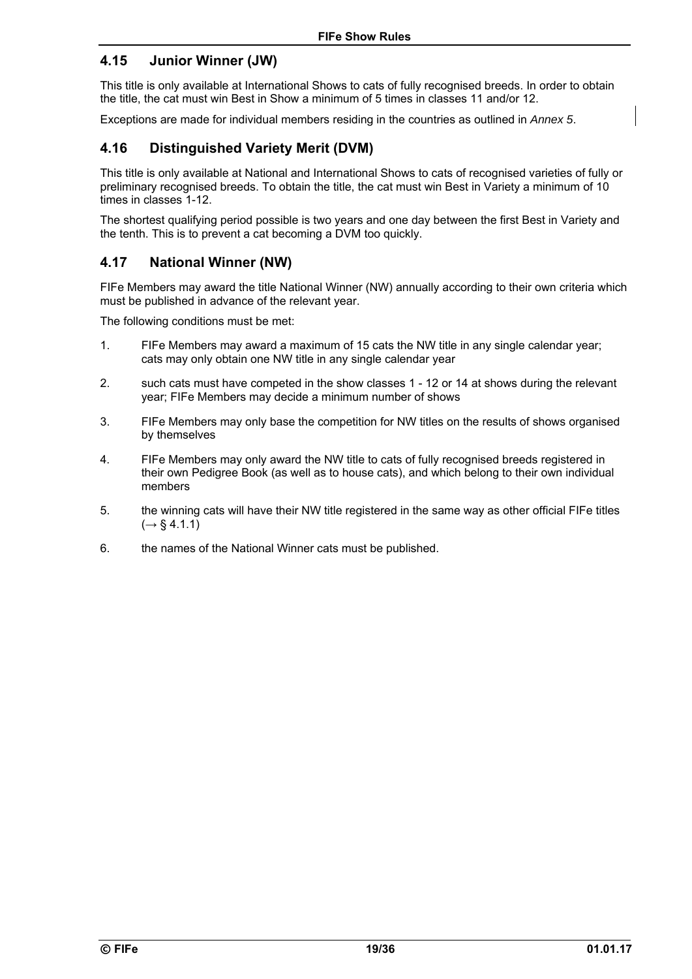### **4.15 Junior Winner (JW)**

This title is only available at International Shows to cats of fully recognised breeds. In order to obtain the title, the cat must win Best in Show a minimum of 5 times in classes 11 and/or 12.

Exceptions are made for individual members residing in the countries as outlined in *Annex 5*.

### **4.16 Distinguished Variety Merit (DVM)**

This title is only available at National and International Shows to cats of recognised varieties of fully or preliminary recognised breeds. To obtain the title, the cat must win Best in Variety a minimum of 10 times in classes 1-12.

The shortest qualifying period possible is two years and one day between the first Best in Variety and the tenth. This is to prevent a cat becoming a DVM too quickly.

### **4.17 National Winner (NW)**

FIFe Members may award the title National Winner (NW) annually according to their own criteria which must be published in advance of the relevant year.

The following conditions must be met:

- 1. FIFe Members may award a maximum of 15 cats the NW title in any single calendar year; cats may only obtain one NW title in any single calendar year
- 2. such cats must have competed in the show classes 1 12 or 14 at shows during the relevant year; FIFe Members may decide a minimum number of shows
- 3. FIFe Members may only base the competition for NW titles on the results of shows organised by themselves
- 4. FIFe Members may only award the NW title to cats of fully recognised breeds registered in their own Pedigree Book (as well as to house cats), and which belong to their own individual members
- 5. the winning cats will have their NW title registered in the same way as other official FIFe titles (*→* § 4.1.1)
- 6. the names of the National Winner cats must be published.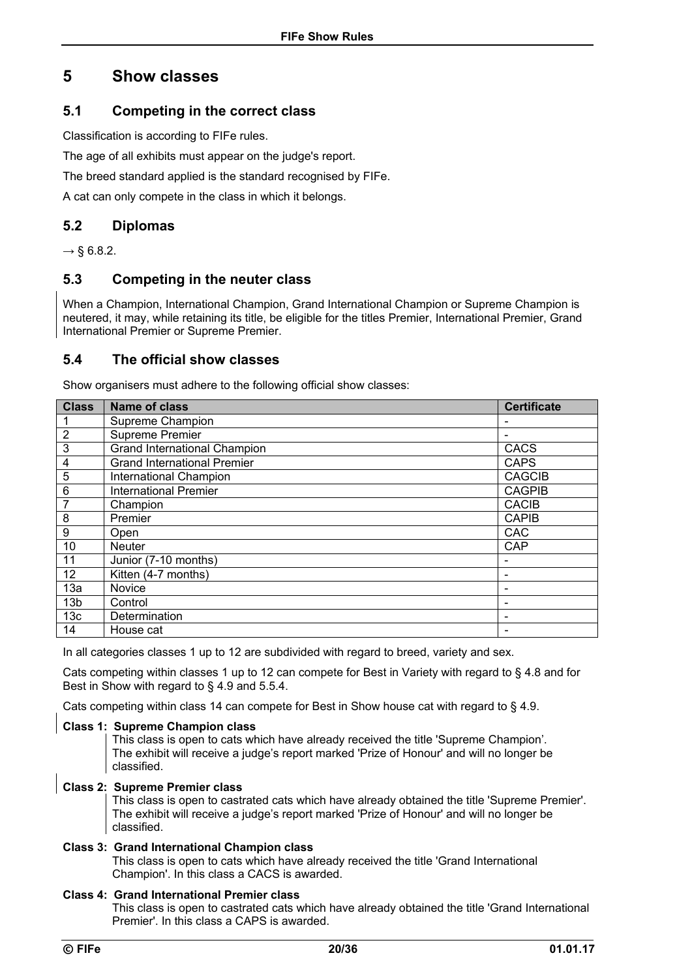## **5 Show classes**

### **5.1 Competing in the correct class**

Classification is according to FIFe rules.

The age of all exhibits must appear on the judge's report.

The breed standard applied is the standard recognised by FIFe.

A cat can only compete in the class in which it belongs.

### **5.2 Diplomas**

*→* § 6.8.2.

### **5.3 Competing in the neuter class**

When a Champion, International Champion, Grand International Champion or Supreme Champion is neutered, it may, while retaining its title, be eligible for the titles Premier, International Premier, Grand International Premier or Supreme Premier.

### **5.4 The official show classes**

Show organisers must adhere to the following official show classes:

| <b>Class</b>    | <b>Name of class</b>                | <b>Certificate</b>       |
|-----------------|-------------------------------------|--------------------------|
| 1               | Supreme Champion                    |                          |
| $\overline{2}$  | Supreme Premier                     |                          |
| 3               | <b>Grand International Champion</b> | CACS                     |
| 4               | <b>Grand International Premier</b>  | <b>CAPS</b>              |
| $\overline{5}$  | International Champion              | <b>CAGCIB</b>            |
| $6\phantom{1}$  | <b>International Premier</b>        | <b>CAGPIB</b>            |
| 7               | Champion                            | <b>CACIB</b>             |
| 8               | Premier                             | <b>CAPIB</b>             |
| 9               | Open                                | <b>CAC</b>               |
| 10              | <b>Neuter</b>                       | CAP                      |
| 11              | Junior (7-10 months)                |                          |
| 12 <sup>2</sup> | Kitten (4-7 months)                 |                          |
| 13a             | Novice                              |                          |
| 13 <sub>b</sub> | Control                             | $\overline{\phantom{0}}$ |
| 13 <sub>c</sub> | Determination                       | -                        |
| 14              | House cat                           |                          |

In all categories classes 1 up to 12 are subdivided with regard to breed, variety and sex.

Cats competing within classes 1 up to 12 can compete for Best in Variety with regard to § 4.8 and for Best in Show with regard to § 4.9 and 5.5.4.

Cats competing within class 14 can compete for Best in Show house cat with regard to § 4.9.

#### **Class 1: Supreme Champion class**

This class is open to cats which have already received the title 'Supreme Champion'. The exhibit will receive a judge's report marked 'Prize of Honour' and will no longer be classified.

#### **Class 2: Supreme Premier class**

This class is open to castrated cats which have already obtained the title 'Supreme Premier'. The exhibit will receive a judge's report marked 'Prize of Honour' and will no longer be classified.

#### **Class 3: Grand International Champion class**

This class is open to cats which have already received the title 'Grand International Champion'. In this class a CACS is awarded.

#### **Class 4: Grand International Premier class**

This class is open to castrated cats which have already obtained the title 'Grand International Premier'. In this class a CAPS is awarded.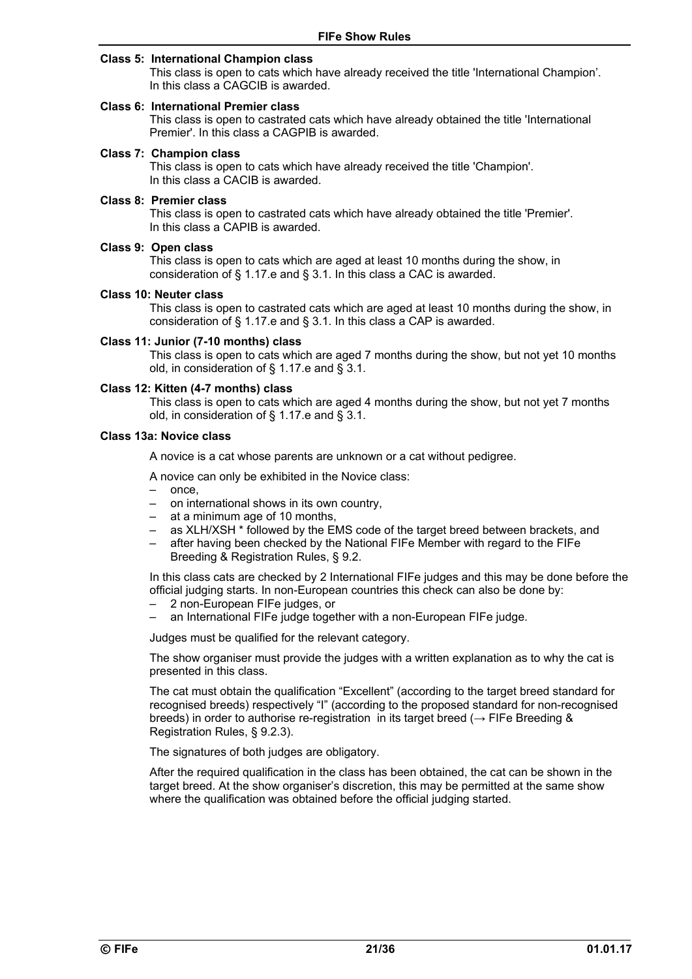#### **Class 5: International Champion class**

This class is open to cats which have already received the title 'International Champion'. In this class a CAGCIB is awarded.

#### **Class 6: International Premier class**

This class is open to castrated cats which have already obtained the title 'International Premier'. In this class a CAGPIB is awarded.

#### **Class 7: Champion class**

This class is open to cats which have already received the title 'Champion'. In this class a CACIB is awarded.

#### **Class 8: Premier class**

This class is open to castrated cats which have already obtained the title 'Premier'. In this class a CAPIB is awarded.

#### **Class 9: Open class**

This class is open to cats which are aged at least 10 months during the show, in consideration of § 1.17.e and § 3.1. In this class a CAC is awarded.

#### **Class 10: Neuter class**

This class is open to castrated cats which are aged at least 10 months during the show, in consideration of § 1.17.e and § 3.1. In this class a CAP is awarded.

#### **Class 11: Junior (7-10 months) class**

This class is open to cats which are aged 7 months during the show, but not yet 10 months old, in consideration of § 1.17.e and § 3.1.

#### **Class 12: Kitten (4-7 months) class**

This class is open to cats which are aged 4 months during the show, but not yet 7 months old, in consideration of § 1.17.e and § 3.1.

#### **Class 13a: Novice class**

A novice is a cat whose parents are unknown or a cat without pedigree.

A novice can only be exhibited in the Novice class:

- once,
- on international shows in its own country,
- at a minimum age of 10 months,
- as XLH/XSH \* followed by the EMS code of the target breed between brackets, and
- after having been checked by the National FIFe Member with regard to the FIFe Breeding & Registration Rules, § 9.2.

In this class cats are checked by 2 International FIFe judges and this may be done before the official judging starts. In non-European countries this check can also be done by:

- 2 non-European FIFe judges, or
- an International FIFe judge together with a non-European FIFe judge.

Judges must be qualified for the relevant category.

The show organiser must provide the judges with a written explanation as to why the cat is presented in this class.

The cat must obtain the qualification "Excellent" (according to the target breed standard for recognised breeds) respectively "I" (according to the proposed standard for non-recognised breeds) in order to authorise re-registration in its target breed ( $\rightarrow$  FIFe Breeding & Registration Rules, § 9.2.3).

The signatures of both judges are obligatory.

After the required qualification in the class has been obtained, the cat can be shown in the target breed. At the show organiser's discretion, this may be permitted at the same show where the qualification was obtained before the official judging started.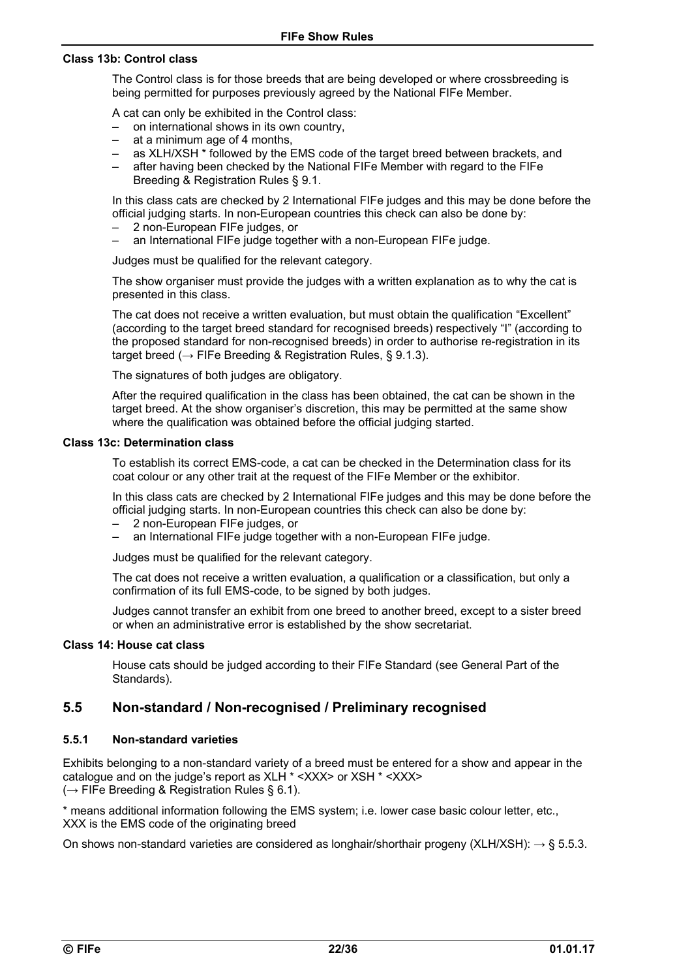#### **Class 13b: Control class**

The Control class is for those breeds that are being developed or where crossbreeding is being permitted for purposes previously agreed by the National FIFe Member.

A cat can only be exhibited in the Control class:

- on international shows in its own country,
- at a minimum age of 4 months,
- as XLH/XSH \* followed by the EMS code of the target breed between brackets, and
- after having been checked by the National FIFe Member with regard to the FIFe Breeding & Registration Rules § 9.1.

In this class cats are checked by 2 International FIFe judges and this may be done before the official judging starts. In non-European countries this check can also be done by:

- 2 non-European FIFe judges, or
- an International FIFe judge together with a non-European FIFe judge.

Judges must be qualified for the relevant category.

The show organiser must provide the judges with a written explanation as to why the cat is presented in this class.

The cat does not receive a written evaluation, but must obtain the qualification "Excellent" (according to the target breed standard for recognised breeds) respectively "I" (according to the proposed standard for non-recognised breeds) in order to authorise re-registration in its target breed ( $\rightarrow$  FIFe Breeding & Registration Rules, § 9.1.3).

The signatures of both judges are obligatory.

After the required qualification in the class has been obtained, the cat can be shown in the target breed. At the show organiser's discretion, this may be permitted at the same show where the qualification was obtained before the official judging started.

#### **Class 13c: Determination class**

To establish its correct EMS-code, a cat can be checked in the Determination class for its coat colour or any other trait at the request of the FIFe Member or the exhibitor.

In this class cats are checked by 2 International FIFe judges and this may be done before the official judging starts. In non-European countries this check can also be done by:

- 2 non-European FIFe judges, or
- an International FIFe judge together with a non-European FIFe judge.

Judges must be qualified for the relevant category.

The cat does not receive a written evaluation, a qualification or a classification, but only a confirmation of its full EMS-code, to be signed by both judges.

Judges cannot transfer an exhibit from one breed to another breed, except to a sister breed or when an administrative error is established by the show secretariat.

#### **Class 14: House cat class**

House cats should be judged according to their FIFe Standard (see General Part of the Standards).

### **5.5 Non-standard / Non-recognised / Preliminary recognised**

#### **5.5.1 Non-standard varieties**

Exhibits belonging to a non-standard variety of a breed must be entered for a show and appear in the catalogue and on the judge's report as XLH \* <XXX> or XSH \* <XXX> (*→* FIFe Breeding & Registration Rules § 6.1).

\* means additional information following the EMS system; i.e. lower case basic colour letter, etc., XXX is the EMS code of the originating breed

On shows non-standard varieties are considered as longhair/shorthair progeny (XLH/XSH): *→* § 5.5.3.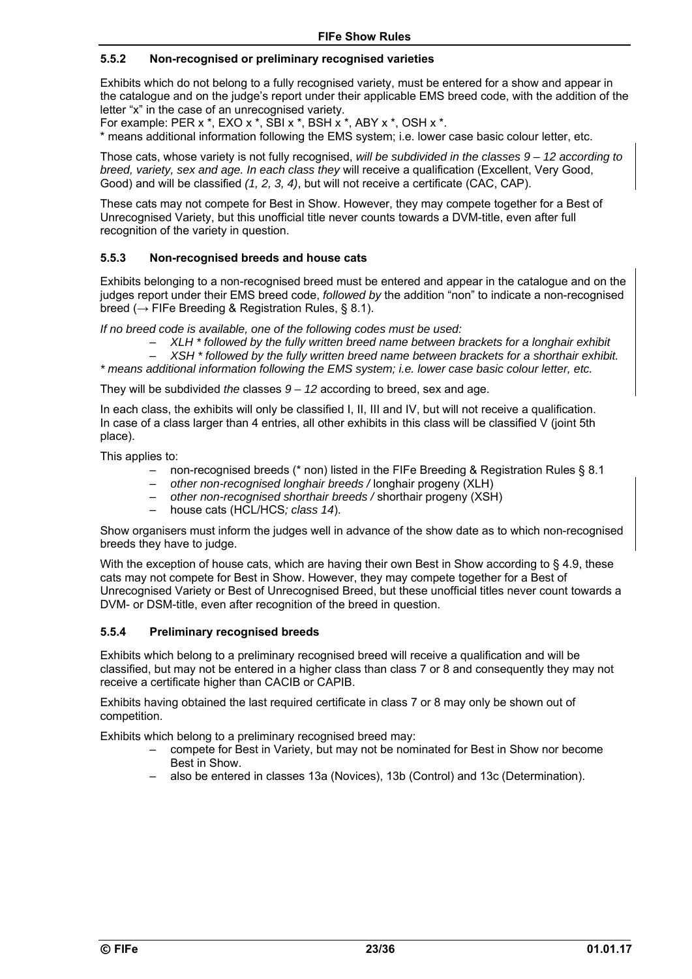#### **5.5.2 Non-recognised or preliminary recognised varieties**

Exhibits which do not belong to a fully recognised variety, must be entered for a show and appear in the catalogue and on the judge's report under their applicable EMS breed code, with the addition of the letter "x" in the case of an unrecognised variety.

For example: PER x \*, EXO x \*, SBI x \*, BSH x \*, ABY x \*, OSH x \*. \* means additional information following the EMS system; i.e. lower case basic colour letter, etc.

Those cats, whose variety is not fully recognised, *will be subdivided in the classes 9 – 12 according to breed, variety, sex and age. In each class they* will receive a qualification (Excellent, Very Good, Good) and will be classified *(1, 2, 3, 4)*, but will not receive a certificate (CAC, CAP).

These cats may not compete for Best in Show. However, they may compete together for a Best of Unrecognised Variety, but this unofficial title never counts towards a DVM-title, even after full recognition of the variety in question.

#### **5.5.3 Non-recognised breeds and house cats**

Exhibits belonging to a non-recognised breed must be entered and appear in the catalogue and on the judges report under their EMS breed code, *followed by* the addition "non" to indicate a non-recognised breed (*→* FIFe Breeding & Registration Rules, § 8.1).

*If no breed code is available, one of the following codes must be used:* 

– *XLH \* followed by the fully written breed name between brackets for a longhair exhibit* 

– *XSH \* followed by the fully written breed name between brackets for a shorthair exhibit. \* means additional information following the EMS system; i.e. lower case basic colour letter, etc.* 

They will be subdivided *the* classes *9 – 12* according to breed, sex and age.

In each class, the exhibits will only be classified I, II, III and IV, but will not receive a qualification. In case of a class larger than 4 entries, all other exhibits in this class will be classified V (joint 5th place).

This applies to:

- non-recognised breeds (\* non) listed in the FIFe Breeding & Registration Rules § 8.1
- *other non-recognised longhair breeds /* longhair progeny (XLH)
- *other non-recognised shorthair breeds /* shorthair progeny (XSH)
- house cats (HCL/HCS*; class 14*).

Show organisers must inform the judges well in advance of the show date as to which non-recognised breeds they have to judge.

With the exception of house cats, which are having their own Best in Show according to § 4.9, these cats may not compete for Best in Show. However, they may compete together for a Best of Unrecognised Variety or Best of Unrecognised Breed, but these unofficial titles never count towards a DVM- or DSM-title, even after recognition of the breed in question.

#### **5.5.4 Preliminary recognised breeds**

Exhibits which belong to a preliminary recognised breed will receive a qualification and will be classified, but may not be entered in a higher class than class 7 or 8 and consequently they may not receive a certificate higher than CACIB or CAPIB.

Exhibits having obtained the last required certificate in class 7 or 8 may only be shown out of competition.

Exhibits which belong to a preliminary recognised breed may:

- compete for Best in Variety, but may not be nominated for Best in Show nor become Best in Show.
- also be entered in classes 13a (Novices), 13b (Control) and 13c (Determination).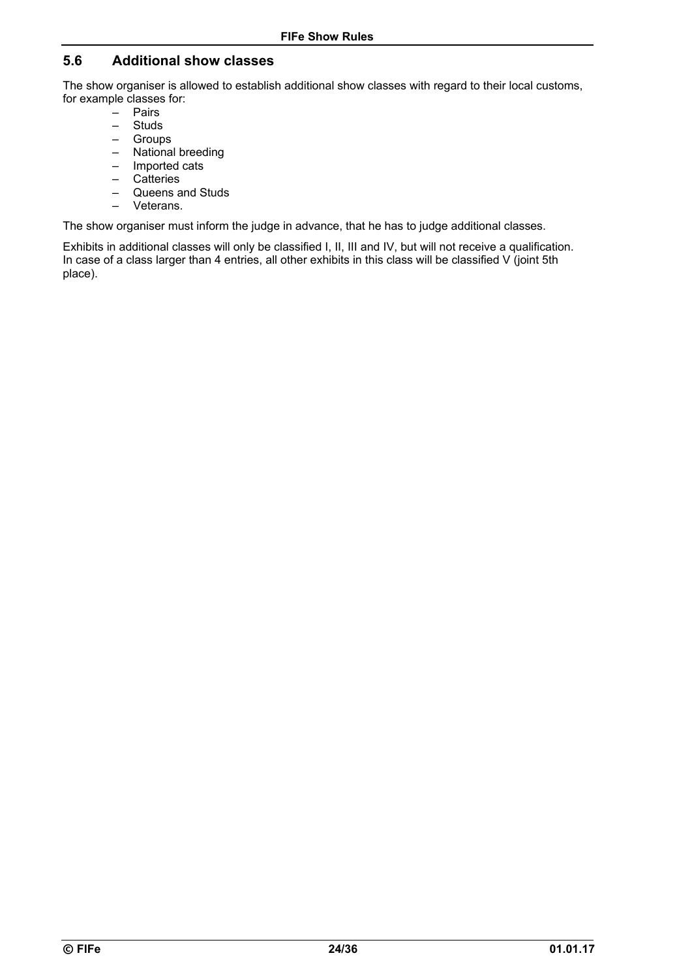### **5.6 Additional show classes**

The show organiser is allowed to establish additional show classes with regard to their local customs, for example classes for:

- Pairs
- Studs
- Groups
- National breeding
- Imported cats
- Catteries
- Queens and Studs – Veterans.

The show organiser must inform the judge in advance, that he has to judge additional classes.

Exhibits in additional classes will only be classified I, II, III and IV, but will not receive a qualification. In case of a class larger than 4 entries, all other exhibits in this class will be classified V (joint 5th place).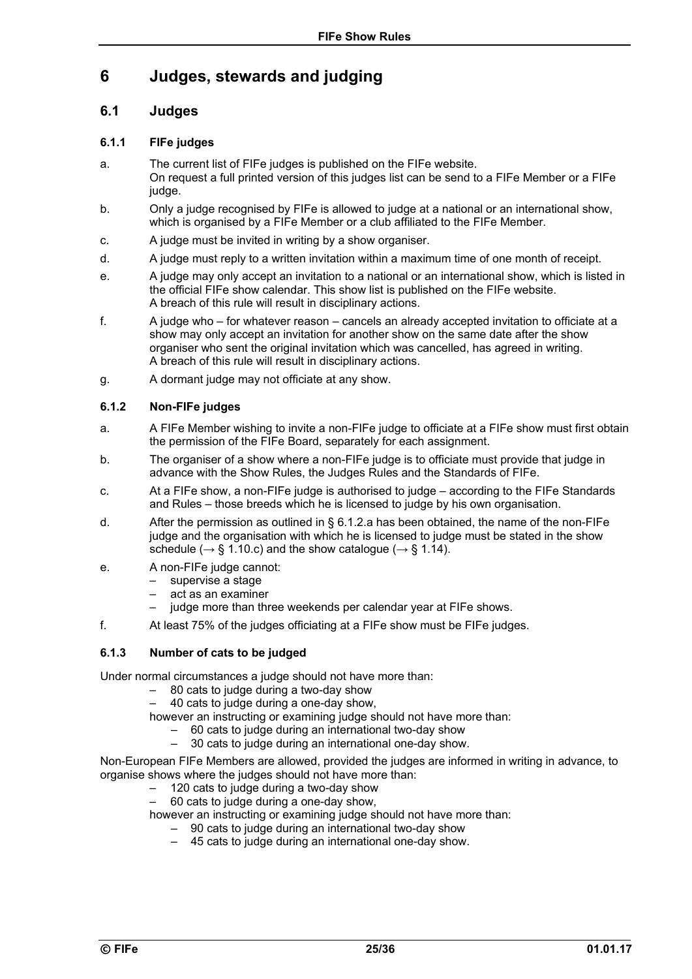## **6 Judges, stewards and judging**

### **6.1 Judges**

#### **6.1.1 FIFe judges**

- a. The current list of FIFe judges is published on the FIFe website. On request a full printed version of this judges list can be send to a FIFe Member or a FIFe judge.
- b. Only a judge recognised by FIFe is allowed to judge at a national or an international show, which is organised by a FIFe Member or a club affiliated to the FIFe Member.
- c. A judge must be invited in writing by a show organiser.
- d. A judge must reply to a written invitation within a maximum time of one month of receipt.
- e. A judge may only accept an invitation to a national or an international show, which is listed in the official FIFe show calendar. This show list is published on the FIFe website. A breach of this rule will result in disciplinary actions.
- f. A judge who for whatever reason cancels an already accepted invitation to officiate at a show may only accept an invitation for another show on the same date after the show organiser who sent the original invitation which was cancelled, has agreed in writing. A breach of this rule will result in disciplinary actions.
- g. A dormant judge may not officiate at any show.

#### **6.1.2 Non-FIFe judges**

- a. A FIFe Member wishing to invite a non-FIFe judge to officiate at a FIFe show must first obtain the permission of the FIFe Board, separately for each assignment.
- b. The organiser of a show where a non-FIFe judge is to officiate must provide that judge in advance with the Show Rules, the Judges Rules and the Standards of FIFe.
- c. At a FIFe show, a non-FIFe judge is authorised to judge according to the FIFe Standards and Rules – those breeds which he is licensed to judge by his own organisation.
- d. After the permission as outlined in § 6.1.2.a has been obtained, the name of the non-FIFe judge and the organisation with which he is licensed to judge must be stated in the show schedule ( $\rightarrow$  § 1.10.c) and the show catalogue ( $\rightarrow$  § 1.14).
- e. A non-FIFe judge cannot:
	- supervise a stage
	- act as an examiner
	- judge more than three weekends per calendar year at FIFe shows.
- f. At least 75% of the judges officiating at a FIFe show must be FIFe judges.

#### **6.1.3 Number of cats to be judged**

Under normal circumstances a judge should not have more than:

- 80 cats to judge during a two-day show
- 40 cats to judge during a one-day show,

however an instructing or examining judge should not have more than:

- 60 cats to judge during an international two-day show
	- 30 cats to judge during an international one-day show.

Non-European FIFe Members are allowed, provided the judges are informed in writing in advance, to organise shows where the judges should not have more than:

- 120 cats to judge during a two-day show
- 60 cats to judge during a one-day show,

however an instructing or examining judge should not have more than:

- 90 cats to judge during an international two-day show
	- 45 cats to judge during an international one-day show.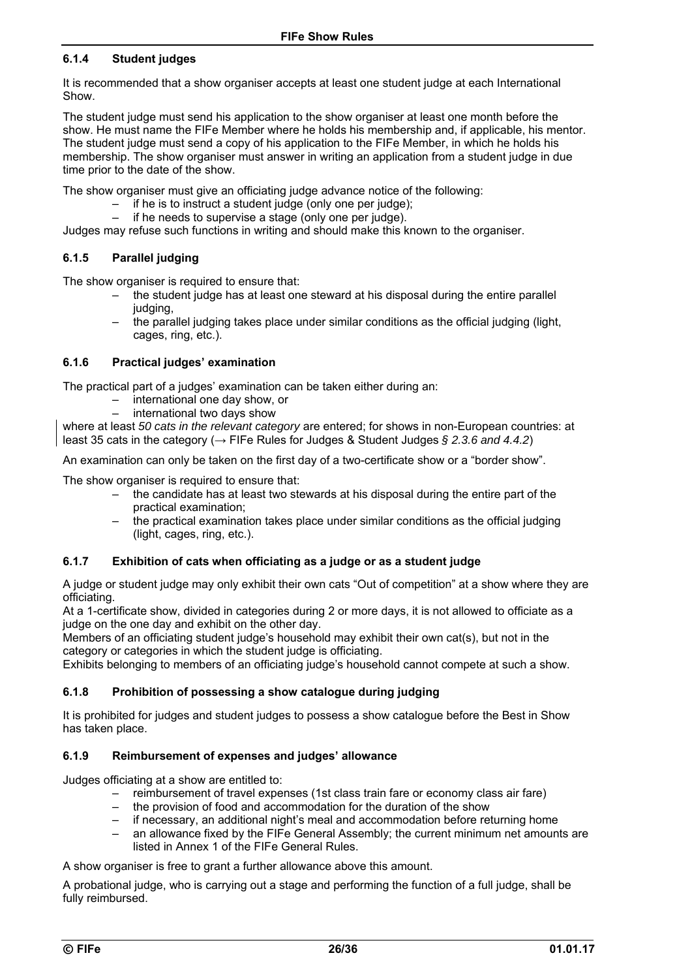### **6.1.4 Student judges**

It is recommended that a show organiser accepts at least one student judge at each International Show.

The student judge must send his application to the show organiser at least one month before the show. He must name the FIFe Member where he holds his membership and, if applicable, his mentor. The student judge must send a copy of his application to the FIFe Member, in which he holds his membership. The show organiser must answer in writing an application from a student judge in due time prior to the date of the show.

The show organiser must give an officiating judge advance notice of the following:

- if he is to instruct a student judge (only one per judge);
	- if he needs to supervise a stage (only one per judge).

Judges may refuse such functions in writing and should make this known to the organiser.

#### **6.1.5 Parallel judging**

The show organiser is required to ensure that:

- the student judge has at least one steward at his disposal during the entire parallel judging,
- the parallel judging takes place under similar conditions as the official judging (light, cages, ring, etc.).

#### **6.1.6 Practical judges' examination**

The practical part of a judges' examination can be taken either during an:

- international one day show, or
- international two days show

where at least *50 cats in the relevant category* are entered; for shows in non-European countries: at least 35 cats in the category (→ FIFe Rules for Judges & Student Judges *§ 2.3.6 and 4.4.2*)

An examination can only be taken on the first day of a two-certificate show or a "border show".

The show organiser is required to ensure that:

- the candidate has at least two stewards at his disposal during the entire part of the practical examination;
- the practical examination takes place under similar conditions as the official judging (light, cages, ring, etc.).

#### **6.1.7 Exhibition of cats when officiating as a judge or as a student judge**

A judge or student judge may only exhibit their own cats "Out of competition" at a show where they are officiating.

At a 1-certificate show, divided in categories during 2 or more days, it is not allowed to officiate as a judge on the one day and exhibit on the other day.

Members of an officiating student judge's household may exhibit their own cat(s), but not in the category or categories in which the student judge is officiating.

Exhibits belonging to members of an officiating judge's household cannot compete at such a show.

#### **6.1.8 Prohibition of possessing a show catalogue during judging**

It is prohibited for judges and student judges to possess a show catalogue before the Best in Show has taken place.

#### **6.1.9 Reimbursement of expenses and judges' allowance**

Judges officiating at a show are entitled to:

- reimbursement of travel expenses (1st class train fare or economy class air fare)
- the provision of food and accommodation for the duration of the show
- if necessary, an additional night's meal and accommodation before returning home
- an allowance fixed by the FIFe General Assembly; the current minimum net amounts are listed in Annex 1 of the FIFe General Rules.

A show organiser is free to grant a further allowance above this amount.

A probational judge, who is carrying out a stage and performing the function of a full judge, shall be fully reimbursed.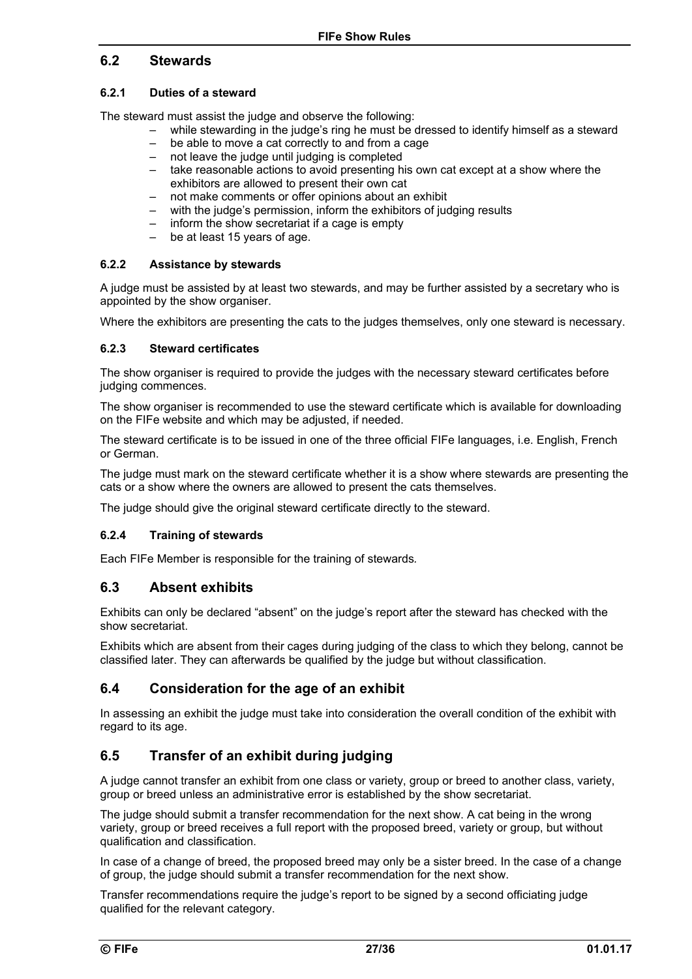### **6.2 Stewards**

### **6.2.1 Duties of a steward**

The steward must assist the judge and observe the following:

- while stewarding in the judge's ring he must be dressed to identify himself as a steward
- be able to move a cat correctly to and from a cage
- not leave the judge until judging is completed
- take reasonable actions to avoid presenting his own cat except at a show where the exhibitors are allowed to present their own cat
- not make comments or offer opinions about an exhibit
- with the judge's permission, inform the exhibitors of judging results
- inform the show secretariat if a cage is empty
- be at least 15 years of age.

#### **6.2.2 Assistance by stewards**

A judge must be assisted by at least two stewards, and may be further assisted by a secretary who is appointed by the show organiser.

Where the exhibitors are presenting the cats to the judges themselves, only one steward is necessary.

#### **6.2.3 Steward certificates**

The show organiser is required to provide the judges with the necessary steward certificates before judging commences.

The show organiser is recommended to use the steward certificate which is available for downloading on the FIFe website and which may be adjusted, if needed.

The steward certificate is to be issued in one of the three official FIFe languages, i.e. English, French or German.

The judge must mark on the steward certificate whether it is a show where stewards are presenting the cats or a show where the owners are allowed to present the cats themselves.

The judge should give the original steward certificate directly to the steward.

#### **6.2.4 Training of stewards**

Each FIFe Member is responsible for the training of stewards*.* 

### **6.3 Absent exhibits**

Exhibits can only be declared "absent" on the judge's report after the steward has checked with the show secretariat.

Exhibits which are absent from their cages during judging of the class to which they belong, cannot be classified later. They can afterwards be qualified by the judge but without classification.

### **6.4 Consideration for the age of an exhibit**

In assessing an exhibit the judge must take into consideration the overall condition of the exhibit with regard to its age.

### **6.5 Transfer of an exhibit during judging**

A judge cannot transfer an exhibit from one class or variety, group or breed to another class, variety, group or breed unless an administrative error is established by the show secretariat.

The judge should submit a transfer recommendation for the next show. A cat being in the wrong variety, group or breed receives a full report with the proposed breed, variety or group, but without qualification and classification.

In case of a change of breed, the proposed breed may only be a sister breed. In the case of a change of group, the judge should submit a transfer recommendation for the next show.

Transfer recommendations require the judge's report to be signed by a second officiating judge qualified for the relevant category.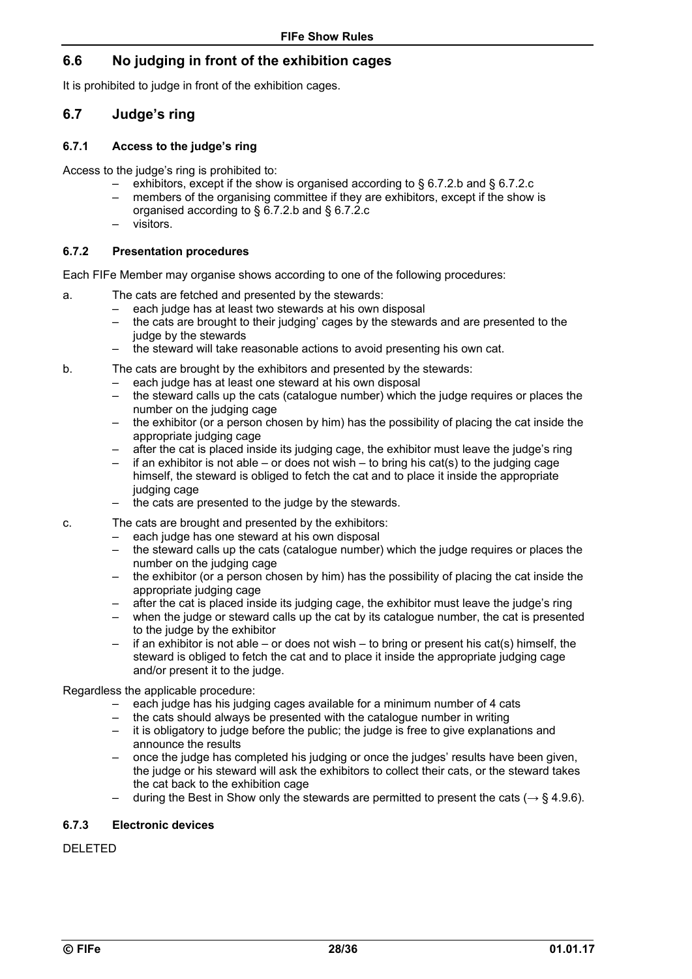### **6.6 No judging in front of the exhibition cages**

It is prohibited to judge in front of the exhibition cages.

#### **6.7 Judge's ring**

#### **6.7.1 Access to the judge's ring**

Access to the judge's ring is prohibited to:

- exhibitors, except if the show is organised according to § 6.7.2.b and § 6.7.2.c
- members of the organising committee if they are exhibitors, except if the show is organised according to § 6.7.2.b and § 6.7.2.c
- visitors.

#### **6.7.2 Presentation procedures**

Each FIFe Member may organise shows according to one of the following procedures:

- a. The cats are fetched and presented by the stewards:
	- each judge has at least two stewards at his own disposal
	- the cats are brought to their judging' cages by the stewards and are presented to the judge by the stewards
	- the steward will take reasonable actions to avoid presenting his own cat.
- b. The cats are brought by the exhibitors and presented by the stewards:
	- each judge has at least one steward at his own disposal
	- the steward calls up the cats (catalogue number) which the judge requires or places the number on the judging cage
	- $-$  the exhibitor (or a person chosen by him) has the possibility of placing the cat inside the appropriate judging cage
	- after the cat is placed inside its judging cage, the exhibitor must leave the judge's ring
	- if an exhibitor is not able or does not wish to bring his cat(s) to the judging cage himself, the steward is obliged to fetch the cat and to place it inside the appropriate judging cage
	- the cats are presented to the judge by the stewards.
- c. The cats are brought and presented by the exhibitors:
	- each judge has one steward at his own disposal
	- the steward calls up the cats (catalogue number) which the judge requires or places the number on the judging cage
	- the exhibitor (or a person chosen by him) has the possibility of placing the cat inside the appropriate judging cage
	- after the cat is placed inside its judging cage, the exhibitor must leave the judge's ring
	- when the judge or steward calls up the cat by its catalogue number, the cat is presented to the judge by the exhibitor
	- $-$  if an exhibitor is not able or does not wish to bring or present his cat(s) himself, the steward is obliged to fetch the cat and to place it inside the appropriate judging cage and/or present it to the judge.

Regardless the applicable procedure:

- each judge has his judging cages available for a minimum number of 4 cats
- the cats should always be presented with the catalogue number in writing
- it is obligatory to judge before the public; the judge is free to give explanations and announce the results
- once the judge has completed his judging or once the judges' results have been given, the judge or his steward will ask the exhibitors to collect their cats, or the steward takes the cat back to the exhibition cage
- during the Best in Show only the stewards are permitted to present the cats (*→* § 4.9.6).

#### **6.7.3 Electronic devices**

DELETED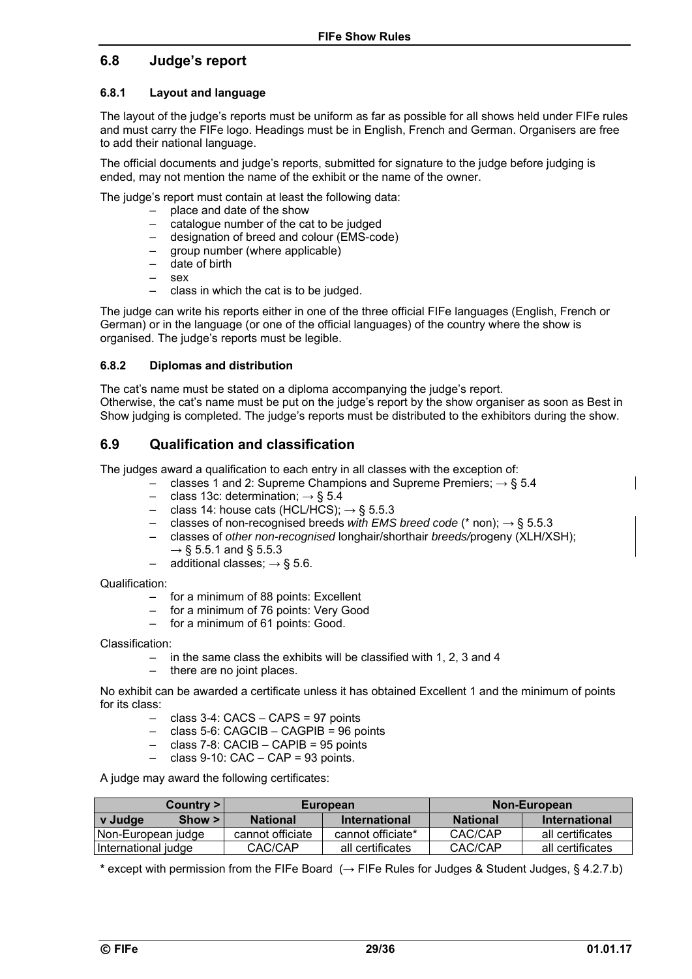### **6.8 Judge's report**

### **6.8.1 Layout and language**

The layout of the judge's reports must be uniform as far as possible for all shows held under FIFe rules and must carry the FIFe logo. Headings must be in English, French and German. Organisers are free to add their national language.

The official documents and judge's reports, submitted for signature to the judge before judging is ended, may not mention the name of the exhibit or the name of the owner.

The judge's report must contain at least the following data:

- place and date of the show
- catalogue number of the cat to be judged
- designation of breed and colour (EMS-code)
- group number (where applicable)
- date of birth
- $-$  sex
- class in which the cat is to be judged.

The judge can write his reports either in one of the three official FIFe languages (English, French or German) or in the language (or one of the official languages) of the country where the show is organised. The judge's reports must be legible.

#### **6.8.2 Diplomas and distribution**

The cat's name must be stated on a diploma accompanying the judge's report. Otherwise, the cat's name must be put on the judge's report by the show organiser as soon as Best in Show judging is completed. The judge's reports must be distributed to the exhibitors during the show.

### **6.9 Qualification and classification**

The judges award a qualification to each entry in all classes with the exception of:

- classes 1 and 2: Supreme Champions and Supreme Premiers; *→* § 5.4
	- class 13c: determination; *→* § 5.4
	- class 14: house cats (HCL/HCS); *→* § 5.5.3
	- classes of non-recognised breeds *with EMS breed code* (\* non); *→* § 5.5.3
	- classes of *other non-recognised* longhair/shorthair *breeds/*progeny (XLH/XSH); *→* § 5.5.1 and § 5.5.3
	- additional classes; *→* § 5.6.

Qualification:

- for a minimum of 88 points: Excellent
- for a minimum of 76 points: Very Good
- for a minimum of 61 points: Good.

Classification:

- in the same class the exhibits will be classified with 1, 2, 3 and 4
- there are no joint places.

No exhibit can be awarded a certificate unless it has obtained Excellent 1 and the minimum of points for its class:

- class 3-4: CACS CAPS = 97 points
- class 5-6: CAGCIB CAGPIB = 96 points
- class 7-8: CACIB CAPIB = 95 points
- $-$  class 9-10: CAC CAP = 93 points.

A judge may award the following certificates:

| Country >            |  |                  | European          | Non-European                |                  |  |  |
|----------------------|--|------------------|-------------------|-----------------------------|------------------|--|--|
| Show > 1<br>v Judge  |  | <b>National</b>  | International     | <b>National</b>             | International    |  |  |
| I Non-European judge |  | cannot officiate | cannot officiate* | CAC/CAP                     | all certificates |  |  |
| International judge  |  | CAC/CAP          | all certificates  | CAC/CAP<br>all certificates |                  |  |  |

**\*** except with permission from the FIFe Board (*→* FIFe Rules for Judges & Student Judges, § 4.2.7.b)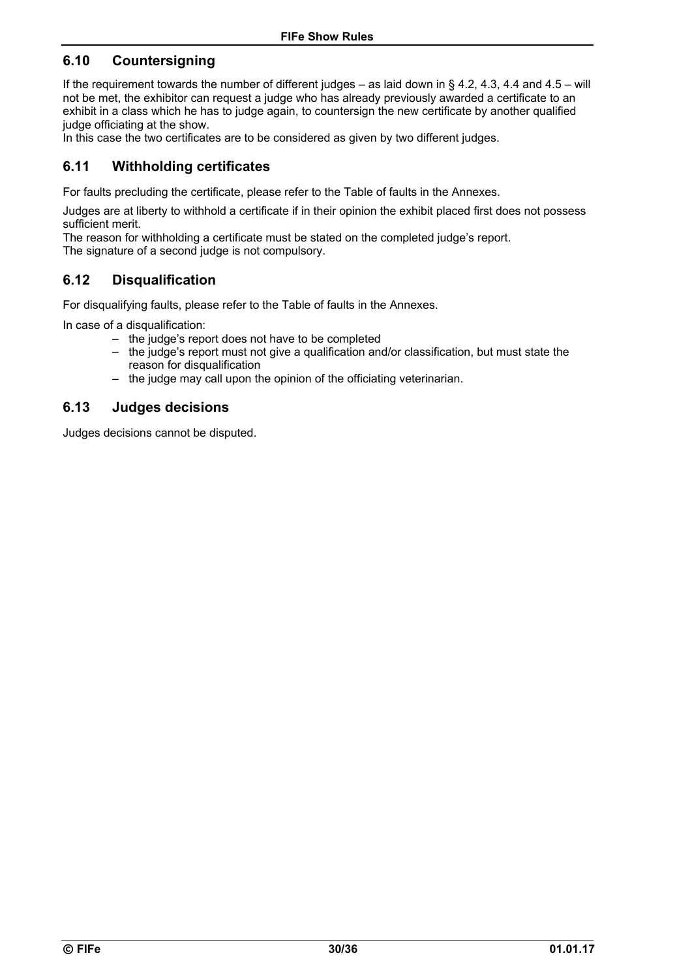### **6.10 Countersigning**

If the requirement towards the number of different judges – as laid down in § 4.2, 4.3, 4.4 and 4.5 – will not be met, the exhibitor can request a judge who has already previously awarded a certificate to an exhibit in a class which he has to judge again, to countersign the new certificate by another qualified judge officiating at the show.

In this case the two certificates are to be considered as given by two different judges.

### **6.11 Withholding certificates**

For faults precluding the certificate, please refer to the Table of faults in the Annexes.

Judges are at liberty to withhold a certificate if in their opinion the exhibit placed first does not possess sufficient merit.

The reason for withholding a certificate must be stated on the completed judge's report. The signature of a second judge is not compulsory.

### **6.12 Disqualification**

For disqualifying faults, please refer to the Table of faults in the Annexes.

In case of a disqualification:

- the judge's report does not have to be completed
- the judge's report must not give a qualification and/or classification, but must state the reason for disqualification
- the judge may call upon the opinion of the officiating veterinarian.

### **6.13 Judges decisions**

Judges decisions cannot be disputed.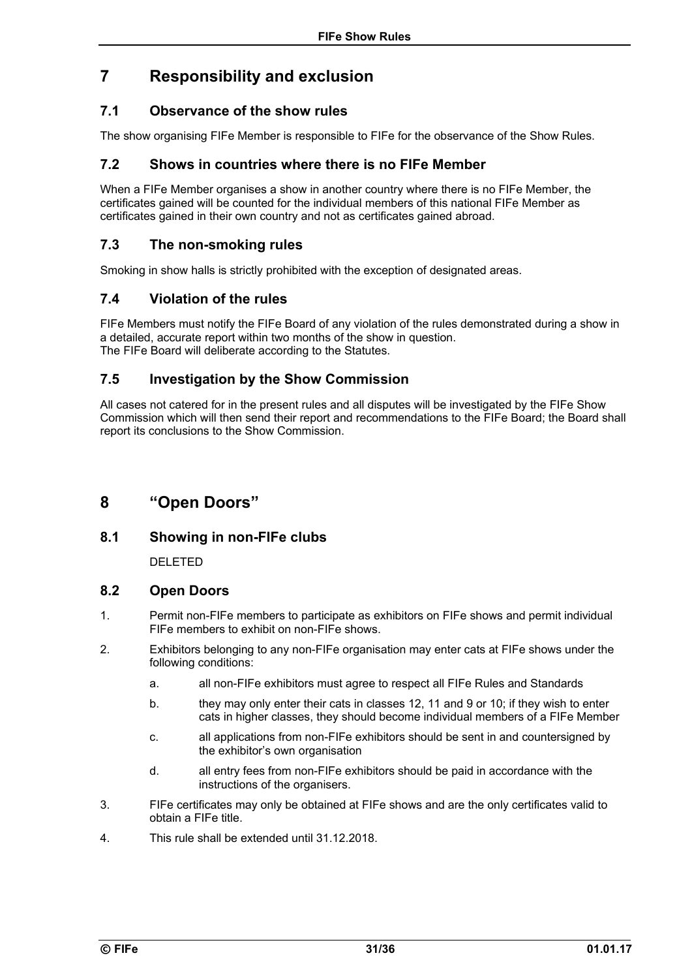## **7 Responsibility and exclusion**

### **7.1 Observance of the show rules**

The show organising FIFe Member is responsible to FIFe for the observance of the Show Rules.

### **7.2 Shows in countries where there is no FIFe Member**

When a FIFe Member organises a show in another country where there is no FIFe Member, the certificates gained will be counted for the individual members of this national FIFe Member as certificates gained in their own country and not as certificates gained abroad.

### **7.3 The non-smoking rules**

Smoking in show halls is strictly prohibited with the exception of designated areas.

### **7.4 Violation of the rules**

FIFe Members must notify the FIFe Board of any violation of the rules demonstrated during a show in a detailed, accurate report within two months of the show in question. The FIFe Board will deliberate according to the Statutes.

### **7.5 Investigation by the Show Commission**

All cases not catered for in the present rules and all disputes will be investigated by the FIFe Show Commission which will then send their report and recommendations to the FIFe Board; the Board shall report its conclusions to the Show Commission.

## **8 "Open Doors"**

### **8.1 Showing in non-FIFe clubs**

DELETED

#### **8.2 Open Doors**

- 1. Permit non-FIFe members to participate as exhibitors on FIFe shows and permit individual FIFe members to exhibit on non-FIFe shows.
- 2. Exhibitors belonging to any non-FIFe organisation may enter cats at FIFe shows under the following conditions:
	- a. all non-FIFe exhibitors must agree to respect all FIFe Rules and Standards
	- b. they may only enter their cats in classes 12, 11 and 9 or 10; if they wish to enter cats in higher classes, they should become individual members of a FIFe Member
	- c. all applications from non-FIFe exhibitors should be sent in and countersigned by the exhibitor's own organisation
	- d. all entry fees from non-FIFe exhibitors should be paid in accordance with the instructions of the organisers.
- 3. FIFe certificates may only be obtained at FIFe shows and are the only certificates valid to obtain a FIFe title.
- 4. This rule shall be extended until 31.12.2018.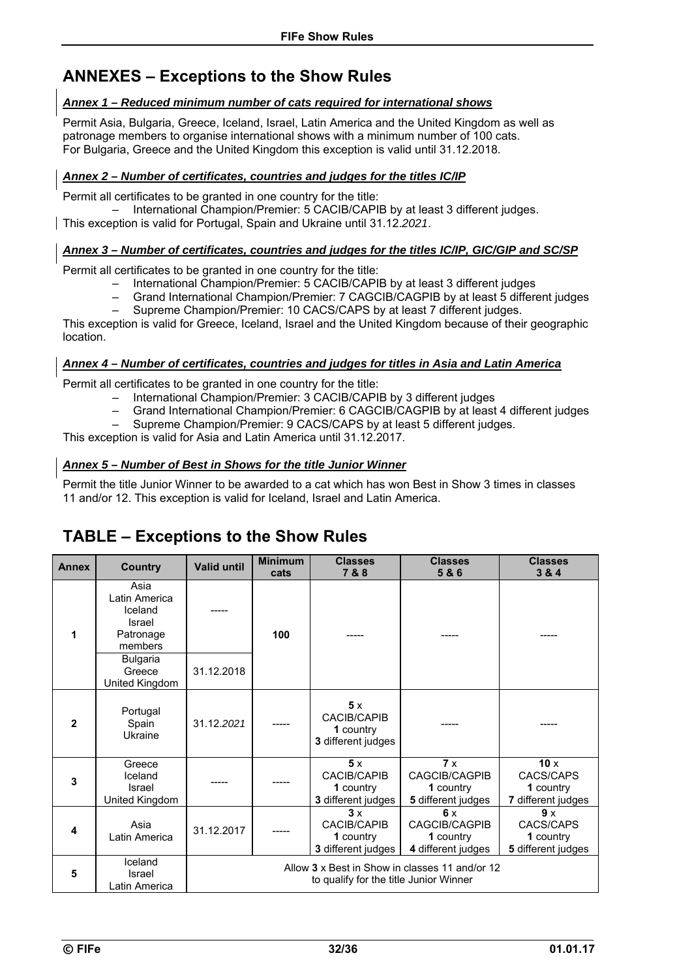## **ANNEXES – Exceptions to the Show Rules**

#### *Annex 1 – Reduced minimum number of cats required for international shows*

Permit Asia, Bulgaria, Greece, Iceland, Israel, Latin America and the United Kingdom as well as patronage members to organise international shows with a minimum number of 100 cats. For Bulgaria, Greece and the United Kingdom this exception is valid until 31.12.2018.

#### *Annex 2 – Number of certificates, countries and judges for the titles IC/IP*

Permit all certificates to be granted in one country for the title:

– International Champion/Premier: 5 CACIB/CAPIB by at least 3 different judges.

This exception is valid for Portugal, Spain and Ukraine until 31.12.*2021*.

#### *Annex 3 – Number of certificates, countries and judges for the titles IC/IP, GIC/GIP and SC/SP*

Permit all certificates to be granted in one country for the title:

- International Champion/Premier: 5 CACIB/CAPIB by at least 3 different judges
- Grand International Champion/Premier: 7 CAGCIB/CAGPIB by at least 5 different judges
- Supreme Champion/Premier: 10 CACS/CAPS by at least 7 different judges.

This exception is valid for Greece, Iceland, Israel and the United Kingdom because of their geographic location.

#### *Annex 4 – Number of certificates, countries and judges for titles in Asia and Latin America*

Permit all certificates to be granted in one country for the title:

- International Champion/Premier: 3 CACIB/CAPIB by 3 different judges
- Grand International Champion/Premier: 6 CAGCIB/CAGPIB by at least 4 different judges
- Supreme Champion/Premier: 9 CACS/CAPS by at least 5 different judges.

This exception is valid for Asia and Latin America until 31.12.2017.

#### *Annex 5 – Number of Best in Shows for the title Junior Winner*

Permit the title Junior Winner to be awarded to a cat which has won Best in Show 3 times in classes 11 and/or 12. This exception is valid for Iceland, Israel and Latin America.

| <b>Annex</b> | <b>Country</b>                                                     | <b>Valid until</b> | <b>Minimum</b><br>cats                                                                   | <b>Classes</b><br>7&8                                       | <b>Classes</b><br>5&6                                  | <b>Classes</b><br>3 & 4                             |  |
|--------------|--------------------------------------------------------------------|--------------------|------------------------------------------------------------------------------------------|-------------------------------------------------------------|--------------------------------------------------------|-----------------------------------------------------|--|
| 1            | Asia<br>Latin America<br>Iceland<br>Israel<br>Patronage<br>members |                    | 100                                                                                      |                                                             |                                                        |                                                     |  |
|              | <b>Bulgaria</b><br>Greece<br>United Kingdom                        | 31.12.2018         |                                                                                          |                                                             |                                                        |                                                     |  |
| $\mathbf{2}$ | Portugal<br>Spain<br>Ukraine                                       | 31.12.2021         |                                                                                          | 5x<br><b>CACIB/CAPIB</b><br>1 country<br>3 different judges |                                                        |                                                     |  |
| 3            | Greece<br>Iceland<br>Israel<br>United Kingdom                      |                    |                                                                                          | 5x<br><b>CACIB/CAPIB</b><br>1 country<br>3 different judges | 7x<br>CAGCIB/CAGPIB<br>1 country<br>5 different judges | 10x<br>CACS/CAPS<br>1 country<br>7 different judges |  |
| 4            | Asia<br>Latin America                                              | 31.12.2017         |                                                                                          | 3x<br><b>CACIB/CAPIB</b><br>1 country<br>3 different judges | 6x<br>CAGCIB/CAGPIB<br>1 country<br>4 different judges | 9 x<br>CACS/CAPS<br>1 country<br>5 different judges |  |
| 5            | Iceland<br>Israel<br>Latin America                                 |                    | Allow 3 x Best in Show in classes 11 and/or 12<br>to qualify for the title Junior Winner |                                                             |                                                        |                                                     |  |

## **TABLE – Exceptions to the Show Rules**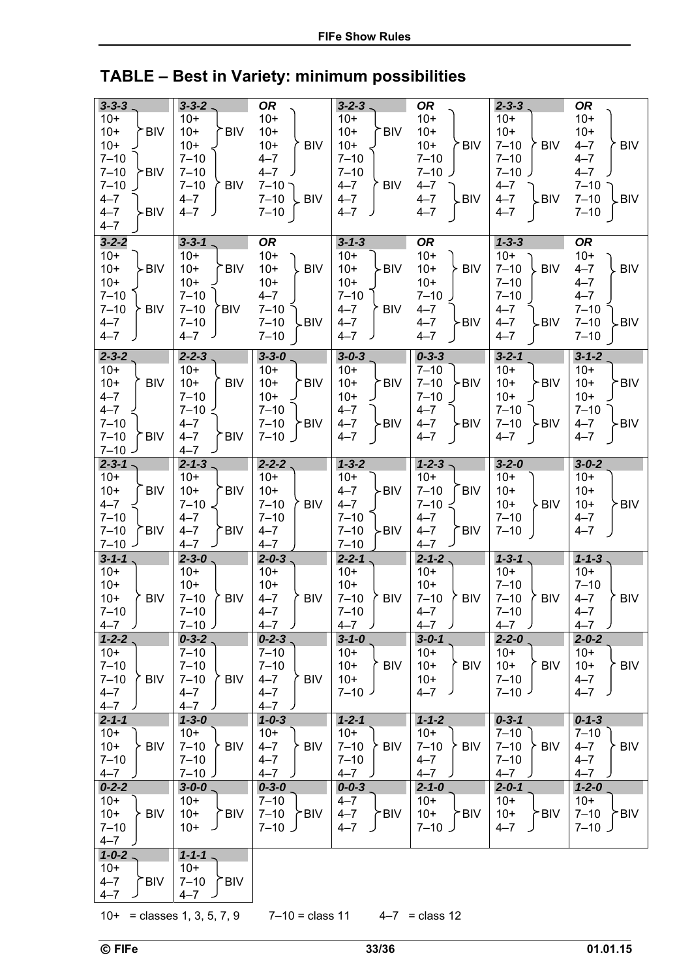# **TABLE – Best in Variety: minimum possibilities**

| $3 - 3 - 3$                      | $3 - 3 - 2$ .                     | <b>OR</b>                            | $3 - 2 - 3$ .                    | <b>OR</b>                        | $2 - 3 - 3$                      | <b>OR</b>                    |
|----------------------------------|-----------------------------------|--------------------------------------|----------------------------------|----------------------------------|----------------------------------|------------------------------|
| $10+$                            | $10+$                             | $10+$                                | $10+$                            | $10+$                            | $10+$                            | $10+$                        |
| $10+$<br><b>BIV</b>              | $10+$<br><b>BIV</b>               | $10+$                                | $10+$<br><b>BIV</b>              | $10+$                            | $10+$                            | $10+$                        |
| $10+$                            | $10+$                             | $10+$<br><b>BIV</b>                  | $10+$                            | $10+$<br><b>BIV</b>              | $7 - 10$<br><b>BIV</b>           | $4 - 7$<br><b>BIV</b>        |
| $7 - 10$                         | $7 - 10$                          | $4 - 7$                              | $7 - 10$                         | $7 - 10$                         | $7 - 10$                         | $4 - 7$                      |
| $7 - 10$<br><b>BIV</b>           | $7 - 10$                          | $4 - 7$                              | $7 - 10$                         | $7 - 10$                         | $7 - 10$                         | $4 - 7$                      |
| $7 - 10$<br>$4 - 7$              | $7 - 10$<br><b>BIV</b><br>$4 - 7$ | $7 - 10$ -<br>$7 - 10$<br><b>BIV</b> | $4 - 7$<br><b>BIV</b><br>$4 - 7$ | $4 - 7$<br>$4 - 7$<br><b>BIV</b> | $4 - 7$<br>$4 - 7$<br><b>BIV</b> | $7 - 10$<br>$7 - 10$<br>.BIV |
| $4 - 7$<br><b>BIV</b>            | $4 - 7$                           | $7 - 10$                             | $4 - 7$                          | $4 - 7$                          | $4 - 7$                          | $7 - 10$                     |
| $4 - 7$                          |                                   |                                      |                                  |                                  |                                  |                              |
| $3 - 2 - 2$                      | $3 - 3 - 1$ .                     | <b>OR</b>                            | $3 - 1 - 3$                      | <b>OR</b>                        | $1 - 3 - 3$                      | <b>OR</b>                    |
| $10+$                            | $10+$                             | $10+$                                | $10+$                            | $10+$                            | $10+$                            | $10+$                        |
| $10+$<br>- BIV                   | $10+$<br><b>BIV</b>               | $10+$<br><b>BIV</b>                  | $10+$<br>-BIV                    | $10+$<br><b>BIV</b>              | $7 - 10$<br><b>BIV</b>           | $4 - 7$<br><b>BIV</b>        |
| $10+$                            | $10+$                             | $10+$                                | $10+$                            | $10+$                            | $7 - 10$                         | $4 - 7$                      |
| $7 - 10$                         | $7 - 10$                          | $4 - 7$                              | $7 - 10$                         | $7 - 10$                         | $7 - 10$                         | $4 - 7$                      |
| $7 - 10$<br>≻ BIV                | $7 - 10$<br>'BIV                  | $7 - 10$                             | <b>BIV</b><br>$4 - 7$            | $4 - 7$                          | $4 - 7$                          | $7 - 10$                     |
| $4 - 7$                          | $7 - 10$                          | $7 - 10$<br>⊊BIV                     | $4 - 7$                          | $4 - 7$<br>≻BIV                  | $4 - 7$<br>≻BIV                  | $7 - 10$<br>-BIV             |
| $4 - 7$                          | $4 - 7$                           | $7 - 10$                             | $4 - 7$                          | $4 - 7$                          | $4 - 7$                          | $7 - 10$                     |
| $2 - 3 - 2$                      | $2 - 2 - 3$                       | $3 - 3 - 0$                          | $3 - 0 - 3$                      | $0 - 3 - 3$                      | $3 - 2 - 1$                      | $3 - 1 - 2$                  |
| $10+$                            | $10+$                             | $10+$                                | $10+$                            | $7 - 10$                         | $10+$                            | $10+$                        |
| $10+$<br><b>BIV</b>              | $10+$<br><b>BIV</b>               | $10+$<br><b>BIV</b>                  | $10+$<br>.BIA                    | $7 - 10$<br>>BIV                 | $10+$<br>>BIV                    | $10+$<br>*BIV                |
| $4 - 7$<br>$4 - 7$               | $7 - 10$<br>$7 - 10$              | $10+$<br>$7 - 10$                    | $10+$<br>$4 - 7$                 | $7 - 10$<br>$4 - 7$              | $10+$<br>$7 - 10$                | $10+$<br>$7 - 10$            |
| $7 - 10$                         | $4 - 7$                           | $7 - 10$<br>≻BIV                     | $4 - 7$<br>-BIV                  | $4 - 7$<br>≻BIV                  | $7 - 10$<br>≻BIV                 | $4 - 7$<br>-BIV              |
| $7 - 10$<br><b>BIV</b>           | $4 - 7$<br><b>BIV</b>             | $7 - 10$                             | $4 - 7$                          | $4 - 7$                          | $4 - 7$                          | $4 - 7$                      |
| $7 - 10$ $-$                     | $4 - 7$                           |                                      |                                  |                                  |                                  |                              |
| $2 - 3 - 1$                      | $2 - 1 - 3$                       | $2 - 2 - 2$ .                        | $1 - 3 - 2$                      | $1 - 2 - 3$                      | $3 - 2 - 0$                      | $3 - 0 - 2$                  |
| $10+$                            | $10+$                             | $10+$                                | $10+$                            | $10+$                            | $10+$                            | $10+$                        |
| $10+$<br><b>BIV</b>              | $10+$<br><b>BIV</b>               | $10+$                                | -BIV<br>$4 - 7$                  | $7 - 10$<br><b>BIV</b>           | $10+$                            | $10+$                        |
| $4 - 7$                          | $7 - 10$                          | <b>BIV</b><br>$7 - 10$               | $4 - 7$                          | $7 - 10 <$                       | $10+$<br><b>BIV</b>              | $10+$<br>· BIV               |
| $7 - 10$<br>$7 - 10$<br>.<br>BIV | $4 - 7$<br>$4 - 7$<br><b>BIV</b>  | $7 - 10$<br>$4 - 7$                  | $7 - 10$<br>$7 - 10$<br>≻BIV     | $4 - 7$<br>$4 - 7$<br><b>BIV</b> | $7 - 10$<br>$7 - 10$             | $4 - 7$<br>$4 - 7$           |
| $7 - 10$                         | $4 - 7$                           | $4 - 7$                              | $7 - 10$                         | $4 - 7$                          |                                  |                              |
| $3 - 1 - 1$                      | $2 - 3 - 0$                       | $2 - 0 - 3$ .                        | $2 - 2 - 1$                      | $2 - 1 - 2$ .                    | $1 - 3 - 1$                      | $1 - 1 - 3$                  |
| $10+$                            | $10+$                             | $10+$                                | $10+$                            | $10+$                            | $10+$                            | $10+$                        |
| $10+$                            | $10+$                             | $10+$                                | $10+$                            | $10+$                            | $7 - 10$                         | $7 - 10$                     |
| $10+$<br><b>BIV</b>              | $7 - 10$<br><b>BIV</b>            | $4 - 7$<br><b>BIV</b>                | $7 - 10$<br><b>BIV</b>           | $7 - 10$<br><b>BIV</b>           | $7 - 10$<br><b>BIV</b>           | $4 - 7$<br><b>BIV</b>        |
| $7 - 10$                         | $7 - 10$                          | $4 - 7$                              | $7 - 10$                         | $4 - 7$                          | $7 - 10$                         | $4 - 7$                      |
| $4 - 7$ )                        | $7 - 10$ J                        | $4 - 7$ )                            | J<br>$4 - 7$                     | $4 - 7$ )                        | $4 - 7$<br>J                     | J<br>$4 - 7$                 |
| $1 - 2 - 2$<br>$10+$             | $0 - 3 - 2$<br>$7 - 10$           | $0 - 2 - 3$ .<br>$7 - 10$            | $3 - 1 - 0$<br>$10+$             | $3 - 0 - 1$<br>$10+$             | $2 - 2 - 0$<br>$10+$             | $2 - 0 - 2$<br>$10+$         |
| $7 - 10$                         | $7 - 10$                          | $7 - 10$                             | $10+$<br><b>BIV</b>              | $10+$<br>້ BIV                   | $10+$<br>` BIV                   | $10+$<br>BIV                 |
| $7 - 10$<br><b>BIV</b>           | $7 - 10$<br><b>BIV</b>            | $4 - 7$<br>∕` BIV                    | $10+$                            | $10+$                            | $7 - 10$                         | $4 - 7$                      |
| $4 - 7$                          | $4 - 7$                           | $4 - 7$                              | $7 - 10$ J                       | $4 - 7$                          | $7 - 10$                         | $4 - 7$                      |
| $4 - 7$                          | $4 - 7$                           | $4 - 7$                              |                                  |                                  |                                  |                              |
| $2 - 1 - 1$                      | $1 - 3 - 0$                       | $1 - 0 - 3$                          | $1 - 2 - 1$                      | $1 - 1 - 2$                      | $0 - 3 - 1$                      | $0 - 1 - 3$                  |
| $10+$                            | $10+$                             | $10+$                                | 10+                              | $10+$                            | $7 - 10$                         | $7 - 10$                     |
| $10+$<br><b>BIV</b>              | $7 - 10$<br><b>BIV</b>            | $4 - 7$<br>≻ BIV                     | $7 - 10$<br><b>BIV</b>           | $7 - 10$<br>∕ BIV ∤              | $7 - 10$<br>≻ BIV                | BIV<br>$4 - 7$               |
| $7 - 10$                         | $7 - 10$                          | $4 - 7$                              | $7 - 10$                         | $4 - 7$<br>$4 - 7$               | $7 - 10$                         | $4 - 7$                      |
| $4 - 7$<br>$0 - 2 - 2$           | $7 - 10$<br>$3 - 0 - 0$ .         | $4 - 7$<br>$0 - 3 - 0$               | $4 - 7$ )<br>$0 - 0 - 3$         | $2 - 1 - 0$                      | $4 - 7$<br>$2 - 0 - 1$           | $4 - 7$<br>$1 - 2 - 0$       |
| $10+$                            | $10+$                             | $7 - 10$                             | $4 - 7$                          | $10+$                            | $10+$                            | $10+$                        |
| $10+$<br>$\geq$ BIV              | $10+$<br><b>BIV</b>               | 7-10 ≻BIV                            | $4 - 7$<br>≻BIV                  | $10+$<br>≻BIV                    | $10+$<br>≻BIV                    | $7 - 10$<br>≻BIV             |
| $7 - 10$                         | $10+$                             | $7 - 10$ $\sqrt{ }$                  | $4 - 7$                          | ل 10–7                           | $4 - 7$                          | ل 10–7                       |
| $4 - 7$                          |                                   |                                      |                                  |                                  |                                  |                              |
| $1 - 0 - 2$ .                    | $1 - 1 - 1$ .                     |                                      |                                  |                                  |                                  |                              |
| $10+$                            | $10+$                             |                                      |                                  |                                  |                                  |                              |
| $4 - 7$<br>≻BIV                  | $7 - 10$<br>∕`BIV                 |                                      |                                  |                                  |                                  |                              |
| $4 - 7$                          | $4 - 7$                           |                                      |                                  |                                  |                                  |                              |

10+ = classes 1, 3, 5, 7, 9  $7-10 =$  class 11  $4-7 =$  class 12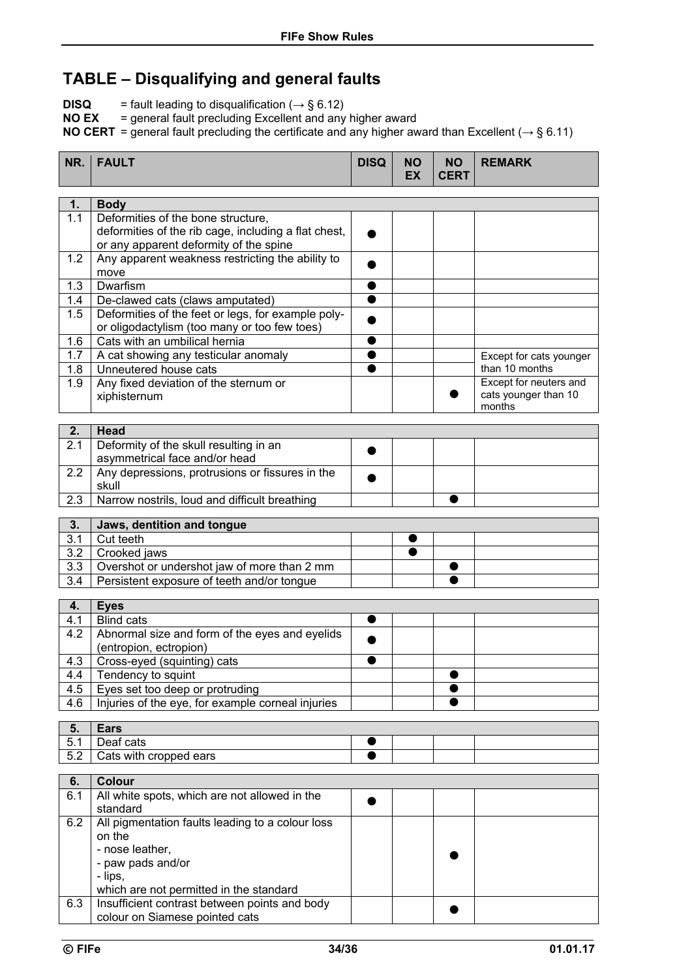## **TABLE – Disqualifying and general faults**

**DISQ** = fault leading to disqualification  $(\rightarrow \S 6.12)$ 

**NO EX** = general fault precluding Excellent and any higher award

**NO CERT** = general fault precluding the certificate and any higher award than Excellent (*→* § 6.11)

| NR.              | <b>FAULT</b>                                                             | <b>DISQ</b> | <b>NO</b><br><b>EX</b> | <b>NO</b><br><b>CERT</b> | <b>REMARK</b>                  |
|------------------|--------------------------------------------------------------------------|-------------|------------------------|--------------------------|--------------------------------|
| 1.               | <b>Body</b>                                                              |             |                        |                          |                                |
| 1.1              | Deformities of the bone structure,                                       |             |                        |                          |                                |
|                  | deformities of the rib cage, including a flat chest,                     |             |                        |                          |                                |
|                  | or any apparent deformity of the spine                                   |             |                        |                          |                                |
| 1.2              | Any apparent weakness restricting the ability to                         |             |                        |                          |                                |
|                  | move<br>Dwarfism                                                         |             |                        |                          |                                |
| 1.3<br>1.4       | De-clawed cats (claws amputated)                                         |             |                        |                          |                                |
| 1.5              | Deformities of the feet or legs, for example poly-                       |             |                        |                          |                                |
|                  | or oligodactylism (too many or too few toes)                             |             |                        |                          |                                |
| 1.6              | Cats with an umbilical hernia                                            |             |                        |                          |                                |
| 1.7              | A cat showing any testicular anomaly                                     |             |                        |                          | Except for cats younger        |
| 1.8              | Unneutered house cats                                                    |             |                        |                          | than 10 months                 |
| 1.9              | Any fixed deviation of the sternum or                                    |             |                        |                          | Except for neuters and         |
|                  | xiphisternum                                                             |             |                        |                          | cats younger than 10<br>months |
|                  |                                                                          |             |                        |                          |                                |
| 2.               | <b>Head</b>                                                              |             |                        |                          |                                |
| 2.1              | Deformity of the skull resulting in an<br>asymmetrical face and/or head  |             |                        |                          |                                |
| 2.2              | Any depressions, protrusions or fissures in the                          |             |                        |                          |                                |
|                  | skull                                                                    |             |                        |                          |                                |
| 2.3              | Narrow nostrils, loud and difficult breathing                            |             |                        |                          |                                |
|                  |                                                                          |             |                        |                          |                                |
| 3.<br>3.1        | Jaws, dentition and tongue<br>Cut teeth                                  |             |                        |                          |                                |
| 3.2              | Crooked jaws                                                             |             |                        |                          |                                |
| 3.3              | Overshot or undershot jaw of more than 2 mm                              |             |                        |                          |                                |
| $\overline{3.4}$ | Persistent exposure of teeth and/or tongue                               |             |                        |                          |                                |
|                  |                                                                          |             |                        |                          |                                |
| 4.               | <b>Eyes</b>                                                              |             |                        |                          |                                |
| 4.1<br>4.2       | <b>Blind cats</b>                                                        |             |                        |                          |                                |
|                  | Abnormal size and form of the eyes and eyelids<br>(entropion, ectropion) |             |                        |                          |                                |
| 4.3              | Cross-eyed (squinting) cats                                              |             |                        |                          |                                |
| 4.4              | Tendency to squint                                                       |             |                        |                          |                                |
| 4.5              | Eyes set too deep or protruding                                          |             |                        |                          |                                |
| 4.6              | Injuries of the eye, for example corneal injuries                        |             |                        |                          |                                |
| 5.               | <b>Ears</b>                                                              |             |                        |                          |                                |
| 5.1              | Deaf cats                                                                |             |                        |                          |                                |
| 5.2              | Cats with cropped ears                                                   |             |                        |                          |                                |
|                  |                                                                          |             |                        |                          |                                |
| 6.               | <b>Colour</b>                                                            |             |                        |                          |                                |
| 6.1              | All white spots, which are not allowed in the<br>standard                |             |                        |                          |                                |
| 6.2              | All pigmentation faults leading to a colour loss                         |             |                        |                          |                                |
|                  | on the                                                                   |             |                        |                          |                                |
|                  | - nose leather,                                                          |             |                        |                          |                                |
|                  | - paw pads and/or                                                        |             |                        |                          |                                |
|                  | - lips,                                                                  |             |                        |                          |                                |
|                  | which are not permitted in the standard                                  |             |                        |                          |                                |
| 6.3              | Insufficient contrast between points and body                            |             |                        |                          |                                |
|                  | colour on Siamese pointed cats                                           |             |                        |                          |                                |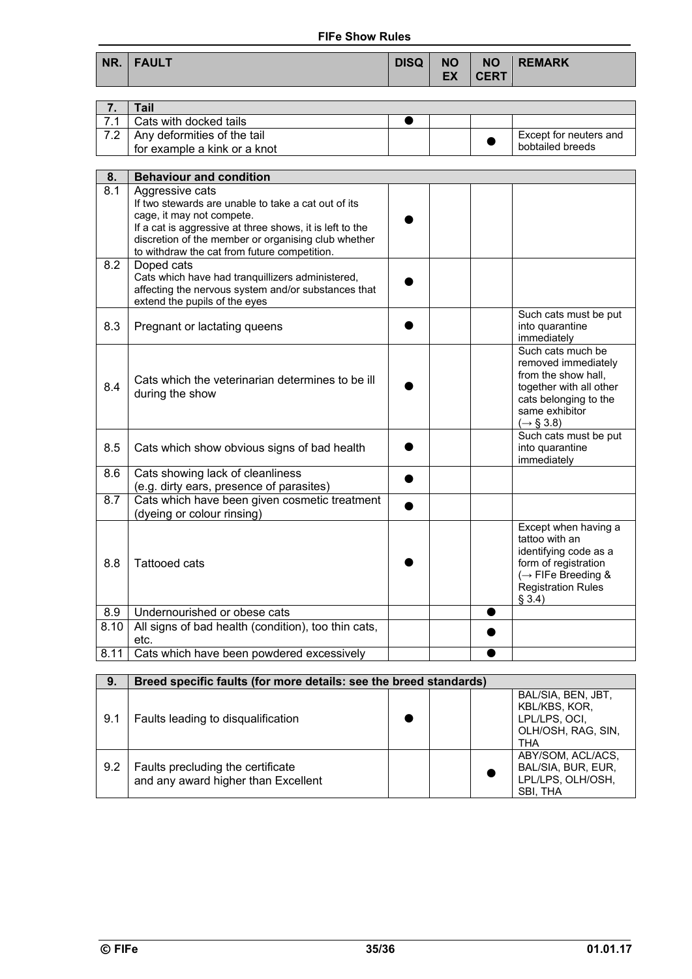#### **FIFe Show Rules**

| NR.   FAULT | DISQ NO |  |
|-------------|---------|--|
|             |         |  |

**NO CERT REMARK** 

|     | Tail                         |  |                        |
|-----|------------------------------|--|------------------------|
|     | Cats with docked tails       |  |                        |
| -70 | Any deformities of the tail  |  | Except for neuters and |
|     | for example a kink or a knot |  | bobtailed breeds       |

| 8.   | <b>Behaviour and condition</b>                                                                                                                                                                                                                                         |                                                                                                                                                                 |  |
|------|------------------------------------------------------------------------------------------------------------------------------------------------------------------------------------------------------------------------------------------------------------------------|-----------------------------------------------------------------------------------------------------------------------------------------------------------------|--|
| 8.1  | Aggressive cats<br>If two stewards are unable to take a cat out of its<br>cage, it may not compete.<br>If a cat is aggressive at three shows, it is left to the<br>discretion of the member or organising club whether<br>to withdraw the cat from future competition. |                                                                                                                                                                 |  |
| 8.2  | Doped cats<br>Cats which have had tranquillizers administered,<br>affecting the nervous system and/or substances that<br>extend the pupils of the eyes                                                                                                                 |                                                                                                                                                                 |  |
| 8.3  | Pregnant or lactating queens                                                                                                                                                                                                                                           | Such cats must be put<br>into quarantine<br>immediately                                                                                                         |  |
| 8.4  | Cats which the veterinarian determines to be ill<br>during the show                                                                                                                                                                                                    | Such cats much be<br>removed immediately<br>from the show hall,<br>together with all other<br>cats belonging to the<br>same exhibitor<br>$(\rightarrow$ § 3.8)  |  |
| 8.5  | Cats which show obvious signs of bad health                                                                                                                                                                                                                            | Such cats must be put<br>into quarantine<br>immediately                                                                                                         |  |
| 8.6  | Cats showing lack of cleanliness<br>(e.g. dirty ears, presence of parasites)                                                                                                                                                                                           |                                                                                                                                                                 |  |
| 8.7  | Cats which have been given cosmetic treatment<br>(dyeing or colour rinsing)                                                                                                                                                                                            |                                                                                                                                                                 |  |
| 8.8  | <b>Tattooed cats</b>                                                                                                                                                                                                                                                   | Except when having a<br>tattoo with an<br>identifying code as a<br>form of registration<br>$\rightarrow$ FIFe Breeding &<br><b>Registration Rules</b><br>§ 3.4) |  |
| 8.9  | Undernourished or obese cats                                                                                                                                                                                                                                           | e                                                                                                                                                               |  |
| 8.10 | All signs of bad health (condition), too thin cats,<br>etc.                                                                                                                                                                                                            |                                                                                                                                                                 |  |
| 8.11 | Cats which have been powdered excessively                                                                                                                                                                                                                              |                                                                                                                                                                 |  |

| 9.  | Breed specific faults (for more details: see the breed standards)        |  |  |  |                                                                                   |
|-----|--------------------------------------------------------------------------|--|--|--|-----------------------------------------------------------------------------------|
| 9.1 | Faults leading to disqualification                                       |  |  |  | BAL/SIA, BEN, JBT,<br>KBL/KBS, KOR,<br>LPL/LPS, OCI,<br>OLH/OSH, RAG, SIN,<br>THA |
| 9.2 | Faults precluding the certificate<br>and any award higher than Excellent |  |  |  | ABY/SOM, ACL/ACS,<br>BAL/SIA, BUR, EUR,<br>LPL/LPS, OLH/OSH,<br>SBI, THA          |